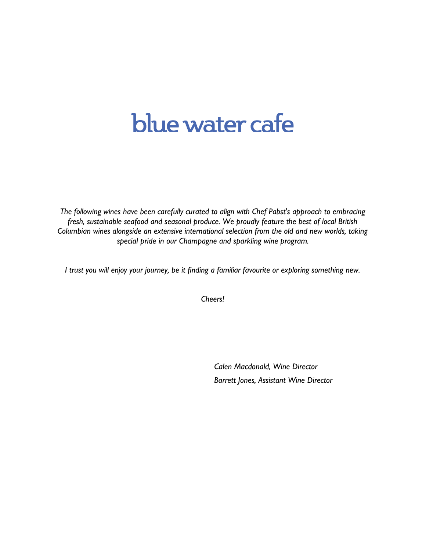# blue water cafe

*The following wines have been carefully curated to align with Chef Pabst's approach to embracing fresh, sustainable seafood and seasonal produce. We proudly feature the best of local British Columbian wines alongside an extensive international selection from the old and new worlds, taking special pride in our Champagne and sparkling wine program.*

*I trust you will enjoy your journey, be it finding a familiar favourite or exploring something new.*

*Cheers!*

*Calen Macdonald, Wine Director Barrett Jones, Assistant Wine Director*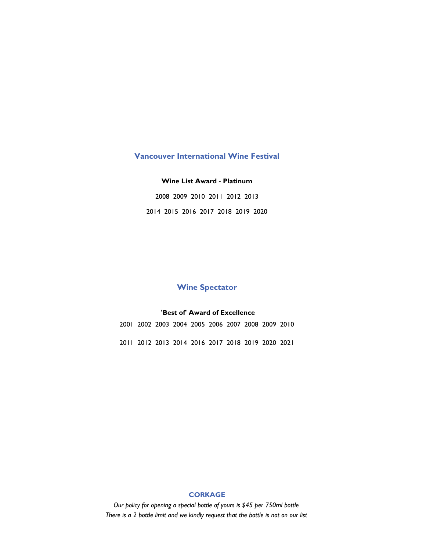#### **Vancouver International Wine Festival**

#### **Wine List Award - Platinum**

2008 2009 2010 2011 2012 2013 2014 2015 2016 2017 2018 2019 2020

### **Wine Spectator**

#### **'Best of' Award of Excellence**

2001 2002 2003 2004 2005 2006 2007 2008 2009 2010 2011 2012 2013 2014 2016 2017 2018 2019 2020 2021

#### **CORKAGE**

*Our policy for opening a special bottle of yours is \$45 per 750ml bottle There is a 2 bottle limit and we kindly request that the bottle is not on our list*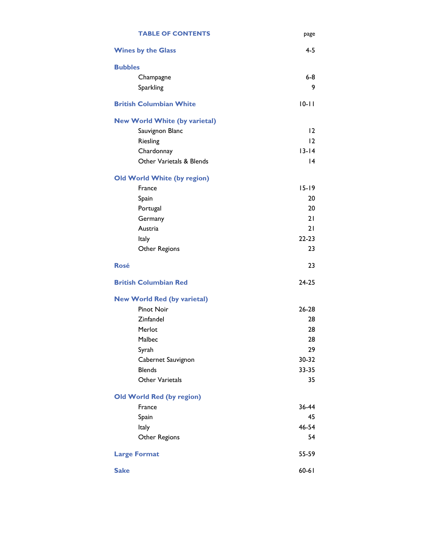| <b>TABLE OF CONTENTS</b>             | page      |
|--------------------------------------|-----------|
| <b>Wines by the Glass</b>            | $4 - 5$   |
| <b>Bubbles</b>                       |           |
| Champagne                            | $6-8$     |
| Sparkling                            | 9         |
| <b>British Columbian White</b>       | $10 - 11$ |
| <b>New World White (by varietal)</b> |           |
| Sauvignon Blanc                      | 12        |
| Riesling                             | 12        |
| Chardonnay                           | $13 - 14$ |
| Other Varietals & Blends             | 4         |
| <b>Old World White (by region)</b>   |           |
| France                               | $15 - 19$ |
| Spain                                | 20        |
| Portugal                             | 20        |
| Germany                              | 21        |
| Austria                              | 21        |
| Italy                                | $22 - 23$ |
| Other Regions                        | 23        |
| <b>Rosé</b>                          | 23        |
| <b>British Columbian Red</b>         | 24-25     |
| <b>New World Red (by varietal)</b>   |           |
| <b>Pinot Noir</b>                    | $26 - 28$ |
| Zinfandel                            | 28        |
| Merlot                               | 28        |
| Malbec                               | 28        |
| Syrah                                | 29        |
| Cabernet Sauvignon                   | 30-32     |
| <b>Blends</b>                        | 33-35     |
| Other Varietals                      | 35        |
| <b>Old World Red (by region)</b>     |           |
| France                               | 36-44     |
| Spain                                | 45        |
| Italy                                | 46-54     |
| Other Regions                        | 54        |
| <b>Large Format</b>                  | 55-59     |
| <b>Sake</b>                          | $60 - 61$ |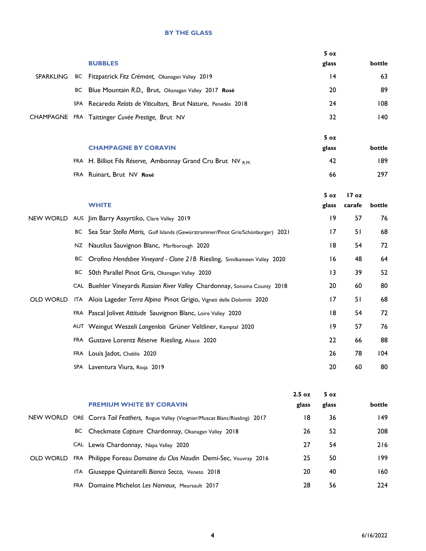#### **BY THE GLASS**

|                  |            |                                                                                  | 5 <sub>oz</sub> |        |        |
|------------------|------------|----------------------------------------------------------------------------------|-----------------|--------|--------|
|                  |            | <b>BUBBLES</b>                                                                   | glass           |        | bottle |
| <b>SPARKLING</b> | BС         | Fitzpatrick Fitz Crémant, Okanagan Valley 2019                                   | 4               |        | 63     |
|                  | ВC         | Blue Mountain R.D., Brut, Okanagan Valley 2017 Rosé                              | 20              |        | 89     |
|                  | <b>SPA</b> | Recaredo Relats de Viticultors, Brut Nature, Penedès 2018                        | 24              |        | 108    |
|                  |            | CHAMPAGNE FRA Taittinger Cuvée Prestige, Brut NV                                 | 32              |        | 140    |
|                  |            |                                                                                  | 5 <sub>oz</sub> |        |        |
|                  |            | <b>CHAMPAGNE BY CORAVIN</b>                                                      | glass           |        | bottle |
|                  |            | FRA H. Billiot Fils Réserve, Ambonnay Grand Cru Brut NV R.M.                     | 42              |        | 189    |
|                  |            | FRA Ruinart, Brut NV Rosé                                                        | 66              |        | 297    |
|                  |            |                                                                                  |                 |        |        |
|                  |            |                                                                                  | 5 oz            | 17 oz  |        |
|                  |            | <b>WHITE</b>                                                                     | glass           | carafe | bottle |
| NEW WORLD        | <b>AUS</b> | Jim Barry Assyrtiko, Clare Valley 2019                                           | 9               | 57     | 76     |
|                  | BС         | Sea Star Stella Maris, Gulf Islands (Gewürztraminer/Pinot Gris/Schönburger) 2021 | 17              | 51     | 68     |
|                  | NZ         | Nautilus Sauvignon Blanc, Marlborough 2020                                       | 8               | 54     | 72     |
|                  | BС         | Orofino Hendsbee Vineyard - Clone 21B Riesling, Similkameen Valley 2020          | 16              | 48     | 64     |
|                  | BС         | 50th Parallel Pinot Gris, Okanagan Valley 2020                                   | 13              | 39     | 52     |
|                  |            | CAL Buehler Vineyards Russian River Valley Chardonnay, Sonoma County 2018        | 20              | 60     | 80     |
| <b>OLD WORLD</b> |            | ITA Alois Lageder Terra Alpina Pinot Grigio, Vigneti delle Dolomiti 2020         | 17              | 51     | 68     |
|                  |            | FRA Pascal Jolivet Attitude Sauvignon Blanc, Loire Valley 2020                   | 18              | 54     | 72     |
|                  |            | AUT Weingut Weszeli Langenlois Grüner Veltliner, Kamptal 2020                    | 9               | 57     | 76     |
|                  |            | FRA Gustave Lorentz Réserve Riesling, Alsace 2020                                | 22              | 66     | 88     |
|                  |            | FRA Louis Jadot, Chablis 2020                                                    | 26              | 78     | 104    |
|                  |            | SPA Laventura Viura, Rioja 2019                                                  | 20              | 60     | 80     |
|                  |            |                                                                                  |                 |        |        |

|           | <b>PREMIUM WHITE BY CORAVIN</b>                                                       | $2.5 \text{ oz}$<br>glass | 5 <sub>oz</sub><br>glass | bottle |
|-----------|---------------------------------------------------------------------------------------|---------------------------|--------------------------|--------|
|           | NEW WORLD ORE Corra Tail Feathers, Rogue Valley (Viognier/Muscat Blanc/Riesling) 2017 | 18                        | 36                       | 149    |
|           | BC Checkmate Capture Chardonnay, Okanagan Valley 2018                                 | 26                        | 52                       | 208    |
|           | CAL Lewis Chardonnay, Napa Valley 2020                                                | 27                        | 54                       | 216    |
| OLD WORLD | FRA Philippe Foreau Domaine du Clos Naudin Demi-Sec, Vouvray 2016                     | 25                        | 50                       | 199    |
|           | ITA Giuseppe Quintarelli Bianco Secco, Veneto 2018                                    | 20                        | 40                       | 160    |
|           | FRA Domaine Michelot Les Narvaux, Meursault 2017                                      | 28                        | 56                       | 224    |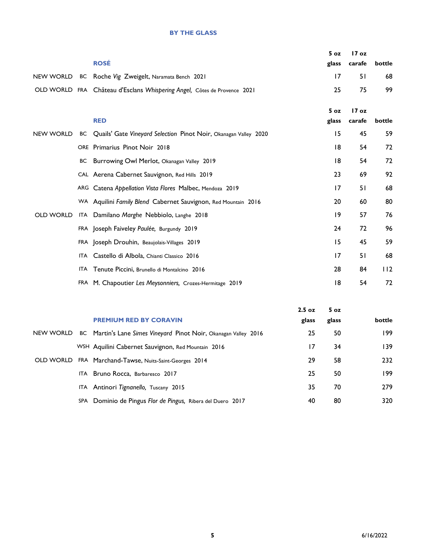#### **BY THE GLASS**

|  |                                                                          | $5 \text{ oz}$ | 17 oz               |    |
|--|--------------------------------------------------------------------------|----------------|---------------------|----|
|  | <b>ROSÉ</b>                                                              |                | glass carafe bottle |    |
|  | NEW WORLD BC Roche Vig Zweigelt, Naramata Bench 2021                     | 17             | 51                  | 68 |
|  | OLD WORLD FRA Château d'Esclans Whispering Angel, Côtes de Provence 2021 | 25             | 75                  | 99 |
|  |                                                                          |                |                     |    |
|  |                                                                          |                | $5 oz$ $17 oz$      |    |
|  | <b>RED</b>                                                               |                | glass carafe bottle |    |

| NEW WORLD        | BC Quails' Gate Vineyard Selection Pinot Noir, Okanagan Valley 2020 | 15 | 45 | 59  |
|------------------|---------------------------------------------------------------------|----|----|-----|
|                  | ORE Primarius Pinot Noir 2018                                       | 18 | 54 | 72  |
|                  | BC Burrowing Owl Merlot, Okanagan Valley 2019                       | 18 | 54 | 72  |
|                  | CAL Aerena Cabernet Sauvignon, Red Hills 2019                       | 23 | 69 | 92  |
|                  | ARG Catena Appellation Vista Flores Malbec, Mendoza 2019            | 17 | 51 | 68  |
|                  | WA Aquilini Family Blend Cabernet Sauvignon, Red Mountain 2016      | 20 | 60 | 80  |
| <b>OLD WORLD</b> | ITA Damilano Marghe Nebbiolo, Langhe 2018                           | 19 | 57 | 76  |
|                  | FRA Joseph Faiveley Paulée, Burgundy 2019                           | 24 | 72 | 96  |
|                  | FRA Joseph Drouhin, Beaujolais-Villages 2019                        | 15 | 45 | 59  |
|                  | ITA Castello di Albola, Chianti Classico 2016                       | 17 | 51 | 68  |
|                  | ITA Tenute Piccini, Brunello di Montalcino 2016                     | 28 | 84 | 112 |
|                  | FRA M. Chapoutier Les Meysonniers, Crozes-Hermitage 2019            | 18 | 54 | 72  |

|           |                                                                  | 2.5 <sub>oz</sub> | 5 <sub>oz</sub> |        |
|-----------|------------------------------------------------------------------|-------------------|-----------------|--------|
|           | <b>PREMIUM RED BY CORAVIN</b>                                    | glass             | glass           | bottle |
| NEW WORLD | BC Martin's Lane Simes Vineyard Pinot Noir, Okanagan Valley 2016 | 25                | 50              | 199    |
|           | WSH Aquilini Cabernet Sauvignon, Red Mountain 2016               | 17                | 34              | 139    |
| OLD WORLD | FRA Marchand-Tawse, Nuits-Saint-Georges 2014                     | 29                | 58              | 232    |
|           | ITA Bruno Rocca, Barbaresco 2017                                 | 25                | 50              | 199    |
|           | ITA Antinori Tignanello, Tuscany 2015                            | 35                | 70              | 279    |
|           | SPA Dominio de Pingus Flor de Pingus, Ribera del Duero 2017      | 40                | 80              | 320    |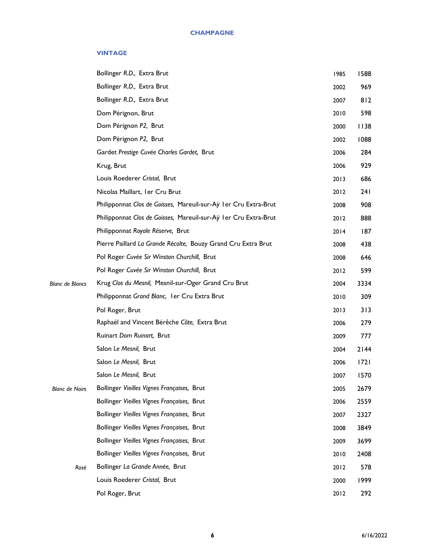#### **VINTAGE**

|                        | Bollinger R.D., Extra Brut                                       | 1985 | 1588 |
|------------------------|------------------------------------------------------------------|------|------|
|                        | Bollinger R.D., Extra Brut                                       | 2002 | 969  |
|                        | Bollinger R.D., Extra Brut                                       | 2007 | 812  |
|                        | Dom Pérignon, Brut                                               | 2010 | 598  |
|                        | Dom Pérignon P2, Brut                                            | 2000 | 1138 |
|                        | Dom Pérignon P2, Brut                                            | 2002 | 1088 |
|                        | Gardet Prestige Cuvée Charles Gardet, Brut                       | 2006 | 284  |
|                        | Krug, Brut                                                       | 2006 | 929  |
|                        | Louis Roederer Cristal, Brut                                     | 2013 | 686  |
|                        | Nicolas Maillart, Ier Cru Brut                                   | 2012 | 241  |
|                        | Philipponnat Clos de Goisses, Mareuil-sur-Ay I er Cru Extra-Brut | 2008 | 908  |
|                        | Philipponnat Clos de Goisses, Mareuil-sur-Ay I er Cru Extra-Brut | 2012 | 888  |
|                        | Philipponnat Royale Réserve, Brut                                | 2014 | 187  |
|                        | Pierre Paillard La Grande Récolte, Bouzy Grand Cru Extra Brut    | 2008 | 438  |
|                        | Pol Roger Cuvée Sir Winston Churchill, Brut                      | 2008 | 646  |
|                        | Pol Roger Cuvée Sir Winston Churchill, Brut                      | 2012 | 599  |
| <b>Blanc de Blancs</b> | Krug Clos du Mesnil, Mesnil-sur-Oger Grand Cru Brut              | 2004 | 3334 |
|                        | Philipponnat Grand Blanc, I er Cru Extra Brut                    | 2010 | 309  |
|                        | Pol Roger, Brut                                                  | 2013 | 313  |
|                        | Raphaël and Vincent Bérêche Côte, Extra Brut                     | 2006 | 279  |
|                        | Ruinart Dom Ruinart, Brut                                        | 2009 | 777  |
|                        | Salon Le Mesnil, Brut                                            | 2004 | 2144 |
|                        | Salon Le Mesnil, Brut                                            | 2006 | 1721 |
|                        | Salon Le Mesnil, Brut                                            | 2007 | 1570 |
| <b>Blanc de Noirs</b>  | Bollinger Vieilles Vignes Françaises, Brut                       | 2005 | 2679 |
|                        | Bollinger Vieilles Vignes Françaises, Brut                       | 2006 | 2559 |
|                        | Bollinger Vieilles Vignes Françaises, Brut                       | 2007 | 2327 |
|                        | Bollinger Vieilles Vignes Françaises, Brut                       | 2008 | 3849 |
|                        | Bollinger Vieilles Vignes Françaises, Brut                       | 2009 | 3699 |
|                        | Bollinger Vieilles Vignes Françaises, Brut                       | 2010 | 2408 |
| Rosé                   | Bollinger La Grande Année, Brut                                  | 2012 | 578  |
|                        | Louis Roederer Cristal, Brut                                     | 2000 | 1999 |
|                        | Pol Roger, Brut                                                  | 2012 | 292  |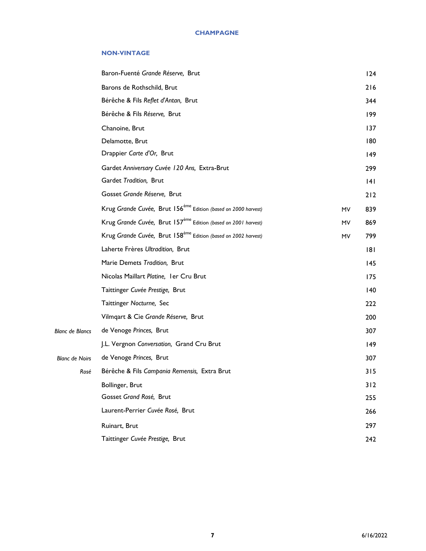#### **NON-VINTAGE**

|                        | Baron-Fuenté Grande Réserve, Brut                                          |           | 124 |
|------------------------|----------------------------------------------------------------------------|-----------|-----|
|                        | Barons de Rothschild, Brut                                                 |           | 216 |
|                        | Bérêche & Fils Reflet d'Antan, Brut                                        |           | 344 |
|                        | Bérêche & Fils Réserve, Brut                                               |           | 199 |
|                        | Chanoine, Brut                                                             |           | 137 |
|                        | Delamotte, Brut                                                            |           | 180 |
|                        | Drappier Carte d'Or, Brut                                                  |           | 149 |
|                        | Gardet Anniversary Cuvée 120 Ans, Extra-Brut                               |           | 299 |
|                        | Gardet Tradition, Brut                                                     |           | 141 |
|                        | Gosset Grande Réserve, Brut                                                |           | 212 |
|                        | Krug Grande Cuvée, Brut 156 <sup>ème</sup> Edition (based on 2000 harvest) | <b>MV</b> | 839 |
|                        | Krug Grande Cuvée, Brut 157 <sup>ème</sup> Edition (based on 2001 harvest) | MV        | 869 |
|                        | Krug Grande Cuvée, Brut 158 <sup>ème</sup> Edition (based on 2002 harvest) | MV        | 799 |
|                        | Laherte Frères Ultradition, Brut                                           |           | 181 |
|                        | Marie Demets Tradition, Brut                                               |           | 145 |
|                        | Nicolas Maillart Platine, I er Cru Brut                                    |           | 175 |
|                        | Taittinger Cuvée Prestige, Brut                                            |           | 140 |
|                        | Taittinger Nocturne, Sec                                                   |           | 222 |
|                        | Vilmqart & Cie Grande Réserve, Brut                                        |           | 200 |
| <b>Blanc de Blancs</b> | de Venoge Princes, Brut                                                    |           | 307 |
|                        | J.L. Vergnon Conversation, Grand Cru Brut                                  |           | 149 |
| <b>Blanc de Noirs</b>  | de Venoge Princes, Brut                                                    |           | 307 |
| Rosé                   | Bérêche & Fils Campania Remensis, Extra Brut                               |           | 315 |
|                        | Bollinger, Brut                                                            |           | 312 |
|                        | Gosset Grand Rosé, Brut                                                    |           | 255 |
|                        | Laurent-Perrier Cuvée Rosé, Brut                                           |           | 266 |
|                        | Ruinart, Brut                                                              |           | 297 |
|                        | Taittinger Cuvée Prestige, Brut                                            |           | 242 |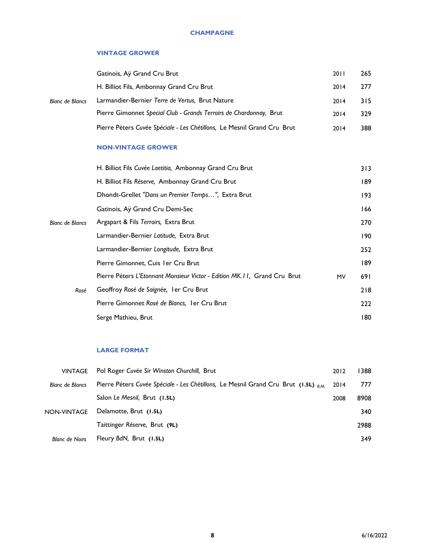#### **CHAMPAGNE**

#### **VINTAGE GROWER**

|                        | Gatinois, Ay Grand Cru Brut                                             | 2011 | 265 |
|------------------------|-------------------------------------------------------------------------|------|-----|
| <b>Blanc de Blancs</b> | H. Billiot Fils, Ambonnay Grand Cru Brut                                | 2014 | 277 |
|                        | Larmandier-Bernier Terre de Vertus, Brut Nature                         | 2014 | 315 |
|                        | Pierre Gimonnet Special Club - Grands Terroirs de Chardonnay, Brut      | 2014 | 329 |
|                        | Pierre Péters Cuvée Spéciale - Les Chétillons, Le Mesnil Grand Cru Brut | 2014 | 388 |

#### **NON-VINTAGE GROWER**

|                        | H. Billiot Fils Cuvée Laetitia, Ambonnay Grand Cru Brut                                 | 313 |
|------------------------|-----------------------------------------------------------------------------------------|-----|
|                        | H. Billiot Fils Réserve, Ambonnay Grand Cru Brut                                        | 189 |
|                        | Dhondt-Grellet "Dans un Premier Temps", Extra Brut                                      | 193 |
|                        | Gatinois, Ay Grand Cru Demi-Sec                                                         | 166 |
| <b>Blanc de Blancs</b> | Argapart & Fils Terroirs, Extra Brut                                                    | 270 |
|                        | Larmandier-Bernier Latitude, Extra Brut                                                 | 190 |
|                        | Larmandier-Bernier Longitude, Extra Brut                                                | 252 |
|                        | Pierre Gimonnet, Cuis I er Cru Brut                                                     | 189 |
|                        | Pierre Péters L'Etonnant Monsieur Victor - Edition MK. I I, Grand Cru Brut<br><b>MV</b> | 691 |
| Rosé                   | Geoffroy Rosé de Saignée, I er Cru Brut                                                 | 218 |
|                        | Pierre Gimonnet Rosé de Blancs, I er Cru Brut                                           | 222 |
|                        | Serge Mathieu, Brut                                                                     | 180 |
|                        |                                                                                         |     |

#### **LARGE FORMAT**

| <b>VINTAGE</b>         | Pol Roger Cuvée Sir Winston Churchill, Brut                                            | 2012 | 1388 |
|------------------------|----------------------------------------------------------------------------------------|------|------|
| <b>Blanc de Blancs</b> | Pierre Péters Cuvée Spéciale - Les Chétillons, Le Mesnil Grand Cru Brut (1.5L) $_{RM}$ | 2014 | 777  |
|                        | Salon Le Mesnil, Brut (1.5L)                                                           | 2008 | 8908 |
| NON-VINTAGE            | Delamotte, Brut (1.5L)                                                                 |      | 340  |
|                        | Taittinger Réserve, Brut (9L)                                                          |      | 2988 |
| <b>Blanc de Noirs</b>  | Fleury BdN, Brut (1.5L)                                                                |      | 349  |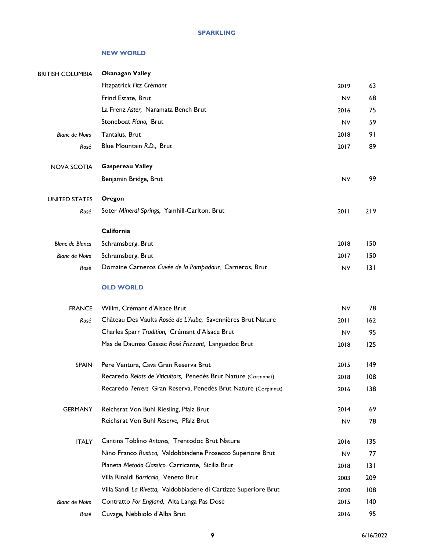#### **NEW WORLD**

| <b>BRITISH COLUMBIA</b> | <b>Okanagan Valley</b>                                           |           |     |
|-------------------------|------------------------------------------------------------------|-----------|-----|
|                         | Fitzpatrick Fitz Crémant                                         | 2019      | 63  |
|                         | Frind Estate, Brut                                               | <b>NV</b> | 68  |
|                         | La Frenz Aster, Naramata Bench Brut                              | 2016      | 75  |
|                         | Stoneboat Piano, Brut                                            | <b>NV</b> | 59  |
| <b>Blanc de Noirs</b>   | Tantalus, Brut                                                   | 2018      | 91  |
| Rosé                    | Blue Mountain R.D., Brut                                         | 2017      | 89  |
| <b>NOVA SCOTIA</b>      | <b>Gaspereau Valley</b>                                          |           |     |
|                         | Benjamin Bridge, Brut                                            | <b>NV</b> | 99  |
| <b>UNITED STATES</b>    | Oregon                                                           |           |     |
| Rosé                    | Soter Mineral Springs, Yamhill-Carlton, Brut                     | 2011      | 219 |
|                         | California                                                       |           |     |
| <b>Blanc de Blancs</b>  | Schramsberg, Brut                                                | 2018      | 150 |
| <b>Blanc de Noirs</b>   | Schramsberg, Brut                                                | 2017      | 150 |
| Rosé                    | Domaine Carneros Cuvée de la Pompadour, Carneros, Brut           | <b>NV</b> | 3   |
|                         | <b>OLD WORLD</b>                                                 |           |     |
| <b>FRANCE</b>           | Willm, Crémant d'Alsace Brut                                     | <b>NV</b> | 78  |
| Rosé                    | Château Des Vaults Rosée de L'Aube, Savennières Brut Nature      | 2011      | 162 |
|                         | Charles Sparr Tradition, Crémant d'Alsace Brut                   | <b>NV</b> | 95  |
|                         | Mas de Daumas Gassac Rosé Frizzant, Languedoc Brut               | 2018      | 125 |
| <b>SPAIN</b>            | Pere Ventura, Cava Gran Reserva Brut                             | 2015      | 149 |
|                         | Recaredo Relats de Viticultors, Penedès Brut Nature (Corpinnat)  | 2018      | 108 |
|                         | Recaredo Terrers Gran Reserva, Penedès Brut Nature (Corpinnat)   | 2016      | 138 |
| <b>GERMANY</b>          | Reichsrat Von Buhl Riesling, Pfalz Brut                          | 2014      | 69  |
|                         | Reichsrat Von Buhl Reserve, Pfalz Brut                           | <b>NV</b> | 78  |
| <b>ITALY</b>            | Cantina Toblino Antares, Trentodoc Brut Nature                   | 2016      | 135 |
|                         | Nino Franco Rustico, Valdobbiadene Prosecco Superiore Brut       | <b>NV</b> | 77  |
|                         | Planeta Metodo Classico Carricante, Sicilia Brut                 | 2018      | 131 |
|                         | Villa Rinaldi Barricaia, Veneto Brut                             | 2003      | 209 |
|                         | Villa Sandi La Rivetta, Valdobbiadene di Cartizze Superiore Brut | 2020      | 108 |
| <b>Blanc de Noirs</b>   | Contratto For England, Alta Langa Pas Dosé                       | 2015      | 140 |
| Rosé                    | Cuvage, Nebbiolo d'Alba Brut                                     | 2016      | 95  |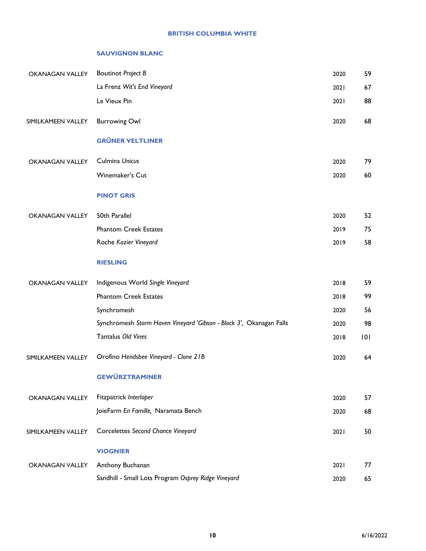#### **BRITISH COLUMBIA WHITE**

#### **SAUVIGNON BLANC**

| <b>OKANAGAN VALLEY</b> | <b>Boutinot Project B</b>                                           | 2020 | 59  |
|------------------------|---------------------------------------------------------------------|------|-----|
|                        | La Frenz Wit's End Vineyard                                         | 2021 | 67  |
|                        | Le Vieux Pin                                                        | 2021 | 88  |
| SIMILKAMEEN VALLEY     | <b>Burrowing Owl</b>                                                | 2020 | 68  |
|                        | <b>GRÜNER VELTLINER</b>                                             |      |     |
| <b>OKANAGAN VALLEY</b> | Culmina Unicus                                                      | 2020 | 79  |
|                        | Winemaker's Cut                                                     | 2020 | 60  |
|                        | <b>PINOT GRIS</b>                                                   |      |     |
| <b>OKANAGAN VALLEY</b> | 50th Parallel                                                       | 2020 | 52  |
|                        | <b>Phantom Creek Estates</b>                                        | 2019 | 75  |
|                        | Roche Kozier Vineyard                                               | 2019 | 58  |
|                        | <b>RIESLING</b>                                                     |      |     |
| <b>OKANAGAN VALLEY</b> | Indigenous World Single Vineyard                                    | 2018 | 59  |
|                        | <b>Phantom Creek Estates</b>                                        | 2018 | 99  |
|                        | Synchromesh                                                         | 2020 | 56  |
|                        | Synchromesh Storm Haven Vineyard 'Gibson - Block 3', Okanagan Falls | 2020 | 98  |
|                        | Tantalus Old Vines                                                  | 2018 | 101 |
| SIMILKAMEEN VALLEY     | Orofino Hendsbee Vineyard - Clone 21B                               | 2020 | 64  |
|                        | <b>GEWÜRZTRAMINER</b>                                               |      |     |
| <b>OKANAGAN VALLEY</b> | Fitzpatrick Interloper                                              | 2020 | 57  |
|                        | JoieFarm En Famille, Naramata Bench                                 | 2020 | 68  |
| SIMILKAMEEN VALLEY     | Corcelettes Second Chance Vineyard                                  | 2021 | 50  |
|                        | <b>VIOGNIER</b>                                                     |      |     |
| OKANAGAN VALLEY        | Anthony Buchanan                                                    | 2021 | 77  |
|                        | Sandhill - Small Lots Program Osprey Ridge Vineyard                 | 2020 | 65  |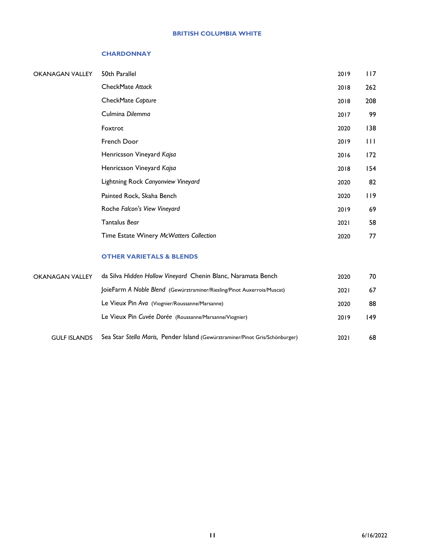#### **BRITISH COLUMBIA WHITE**

#### **CHARDONNAY**

| OKANAGAN VALLEY | 50th Parallel                           | 2019 | 117          |
|-----------------|-----------------------------------------|------|--------------|
|                 | CheckMate Attack                        | 2018 | 262          |
|                 | CheckMate Capture                       | 2018 | 208          |
|                 | Culmina Dilemma                         | 2017 | 99           |
|                 | Foxtrot                                 | 2020 | 138          |
|                 | French Door                             | 2019 | $\mathbf{H}$ |
|                 | Henricsson Vineyard Kajsa               | 2016 | 172          |
|                 | Henricsson Vineyard Kajsa               | 2018 | 154          |
|                 | Lightning Rock Canyonview Vineyard      | 2020 | 82           |
|                 | Painted Rock, Skaha Bench               | 2020 | 119          |
|                 | Roche Falcon's View Vineyard            | 2019 | 69           |
|                 | Tantalus Bear                           | 2021 | 58           |
|                 | Time Estate Winery McWatters Collection | 2020 | 77           |
|                 |                                         |      |              |

### **OTHER VARIETALS & BLENDS**

| <b>OKANAGAN VALLEY</b> | da Silva Hidden Hollow Vineyard Chenin Blanc, Naramata Bench                 | 2020        | 70   |
|------------------------|------------------------------------------------------------------------------|-------------|------|
|                        | JoieFarm A Noble Blend (Gewürztraminer/Riesling/Pinot Auxerrois/Muscat)      | 2021        | 67   |
|                        | Le Vieux Pin Ava (Viognier/Roussanne/Marsanne)                               | 2020        | 88   |
|                        | Le Vieux Pin Cuvée Dorée (Roussanne/Marsanne/Viognier)                       | 2019        | 149. |
| <b>GULF ISLANDS</b>    | Sea Star Stella Maris, Pender Island (Gewürztraminer/Pinot Gris/Schönburger) | <b>2021</b> | 68   |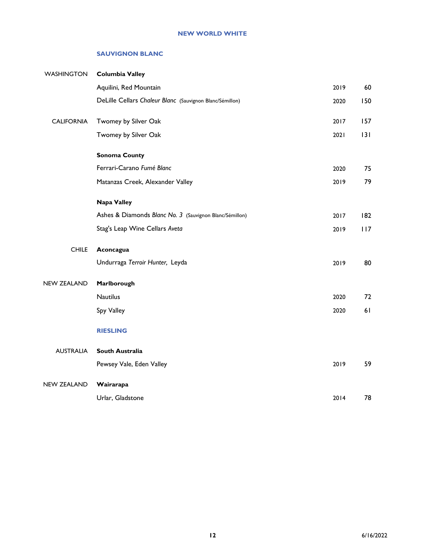#### **SAUVIGNON BLANC**

| <b>WASHINGTON</b>  | <b>Columbia Valley</b>                                   |      |     |
|--------------------|----------------------------------------------------------|------|-----|
|                    | Aquilini, Red Mountain                                   | 2019 | 60  |
|                    | DeLille Cellars Chaleur Blanc (Sauvignon Blanc/Sémillon) | 2020 | 150 |
| <b>CALIFORNIA</b>  | Twomey by Silver Oak                                     | 2017 | 157 |
|                    | Twomey by Silver Oak                                     | 2021 | 3   |
|                    | <b>Sonoma County</b>                                     |      |     |
|                    | Ferrari-Carano Fumé Blanc                                | 2020 | 75  |
|                    | Matanzas Creek, Alexander Valley                         | 2019 | 79  |
|                    | <b>Napa Valley</b>                                       |      |     |
|                    | Ashes & Diamonds Blanc No. 3 (Sauvignon Blanc/Sémillon)  | 2017 | 182 |
|                    | Stag's Leap Wine Cellars Aveta                           | 2019 | 117 |
| <b>CHILE</b>       | Aconcagua                                                |      |     |
|                    | Undurraga Terroir Hunter, Leyda                          | 2019 | 80  |
| <b>NEW ZEALAND</b> | Marlborough                                              |      |     |
|                    | <b>Nautilus</b>                                          | 2020 | 72  |
|                    | Spy Valley                                               | 2020 | 61  |
|                    | <b>RIESLING</b>                                          |      |     |
| <b>AUSTRALIA</b>   | South Australia                                          |      |     |
|                    | Pewsey Vale, Eden Valley                                 | 2019 | 59  |
| <b>NEW ZEALAND</b> | Wairarapa                                                |      |     |
|                    | Urlar, Gladstone                                         | 2014 | 78  |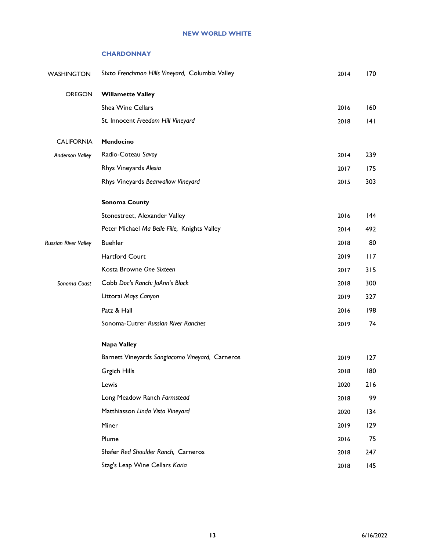#### **NEW WORLD WHITE**

#### **CHARDONNAY**

| <b>WASHINGTON</b>           | Sixto Frenchman Hills Vineyard, Columbia Valley | 2014 | 170 |
|-----------------------------|-------------------------------------------------|------|-----|
| <b>OREGON</b>               | <b>Willamette Valley</b>                        |      |     |
|                             | Shea Wine Cellars                               | 2016 | 160 |
|                             | St. Innocent Freedom Hill Vineyard              | 2018 | 141 |
| <b>CALIFORNIA</b>           | Mendocino                                       |      |     |
| <b>Anderson Valley</b>      | Radio-Coteau Savoy                              | 2014 | 239 |
|                             | Rhys Vineyards Alesia                           | 2017 | 175 |
|                             | Rhys Vineyards Bearwallow Vineyard              | 2015 | 303 |
|                             | <b>Sonoma County</b>                            |      |     |
|                             | Stonestreet, Alexander Valley                   | 2016 | 144 |
|                             | Peter Michael Ma Belle Fille, Knights Valley    | 2014 | 492 |
| <b>Russian River Valley</b> | <b>Buehler</b>                                  | 2018 | 80  |
|                             | Hartford Court                                  | 2019 | 117 |
|                             | Kosta Browne One Sixteen                        | 2017 | 315 |
| Sonoma Coast                | Cobb Doc's Ranch: JoAnn's Block                 | 2018 | 300 |
|                             | Littorai Mays Canyon                            | 2019 | 327 |
|                             | Patz & Hall                                     | 2016 | 198 |
|                             | Sonoma-Cutrer Russian River Ranches             | 2019 | 74  |
|                             | Napa Valley                                     |      |     |
|                             | Barnett Vineyards Sangiacomo Vineyard, Carneros | 2019 | 127 |
|                             | <b>Grgich Hills</b>                             | 2018 | 180 |
|                             | Lewis                                           | 2020 | 216 |
|                             | Long Meadow Ranch Farmstead                     | 2018 | 99  |
|                             | Matthiasson Linda Vista Vineyard                | 2020 | 134 |
|                             | Miner                                           | 2019 | 129 |
|                             | Plume                                           | 2016 | 75  |
|                             | Shafer Red Shoulder Ranch, Carneros             | 2018 | 247 |
|                             | Stag's Leap Wine Cellars Karia                  | 2018 | 145 |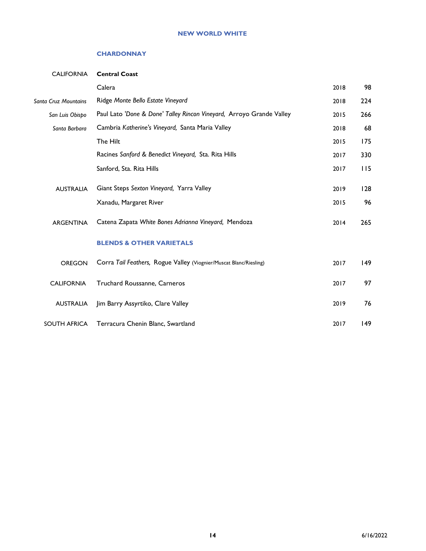#### **NEW WORLD WHITE**

#### **CHARDONNAY**

| <b>CALIFORNIA</b>           | <b>Central Coast</b>                                                 |      |     |
|-----------------------------|----------------------------------------------------------------------|------|-----|
|                             | Calera                                                               | 2018 | 98  |
| <b>Santa Cruz Mountains</b> | Ridge Monte Bello Estate Vineyard                                    | 2018 | 224 |
| San Luis Obispo             | Paul Lato 'Done & Done' Talley Rincon Vineyard, Arroyo Grande Valley | 2015 | 266 |
| Santa Barbara               | Cambria Katherine's Vineyard, Santa Maria Valley                     | 2018 | 68  |
|                             | The Hilt                                                             | 2015 | 175 |
|                             | Racines Sanford & Benedict Vineyard, Sta. Rita Hills                 | 2017 | 330 |
|                             | Sanford, Sta. Rita Hills                                             | 2017 | 115 |
|                             | Giant Steps Sexton Vineyard, Yarra Valley                            |      | 128 |
| <b>AUSTRALIA</b>            |                                                                      | 2019 |     |
|                             | Xanadu, Margaret River                                               | 2015 | 96  |
| <b>ARGENTINA</b>            | Catena Zapata White Bones Adrianna Vineyard, Mendoza                 | 2014 | 265 |
|                             |                                                                      |      |     |
|                             | <b>BLENDS &amp; OTHER VARIETALS</b>                                  |      |     |
| <b>OREGON</b>               | Corra Tail Feathers, Rogue Valley (Viognier/Muscat Blanc/Riesling)   | 2017 | 149 |
|                             |                                                                      |      | 97  |
| <b>CALIFORNIA</b>           | Truchard Roussanne, Carneros                                         | 2017 |     |
| <b>AUSTRALIA</b>            | Jim Barry Assyrtiko, Clare Valley                                    | 2019 | 76  |
| <b>SOUTH AFRICA</b>         | Terracura Chenin Blanc, Swartland                                    | 2017 | 149 |
|                             |                                                                      |      |     |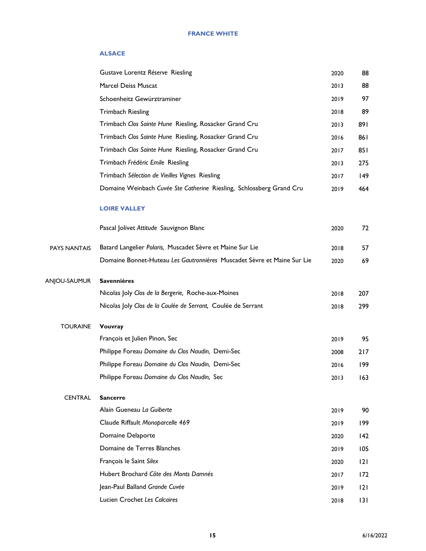#### **ALSACE**

|                     | Gustave Lorentz Réserve Riesling                                        | 2020 | 88  |
|---------------------|-------------------------------------------------------------------------|------|-----|
|                     | Marcel Deiss Muscat                                                     | 2013 | 88  |
|                     | Schoenheitz Gewürztraminer                                              | 2019 | 97  |
|                     | <b>Trimbach Riesling</b>                                                | 2018 | 89  |
|                     | Trimbach Clos Sainte Hune Riesling, Rosacker Grand Cru                  | 2013 | 891 |
|                     | Trimbach Clos Sainte Hune Riesling, Rosacker Grand Cru                  | 2016 | 861 |
|                     | Trimbach Clos Sainte Hune Riesling, Rosacker Grand Cru                  | 2017 | 851 |
|                     | Trimbach Frédéric Emile Riesling                                        | 2013 | 275 |
|                     | Trimbach Sélection de Vieilles Vignes Riesling                          | 2017 | 149 |
|                     | Domaine Weinbach Cuvée Ste Catherine Riesling, Schlossberg Grand Cru    | 2019 | 464 |
|                     | <b>LOIRE VALLEY</b>                                                     |      |     |
|                     | Pascal Jolivet Attitude Sauvignon Blanc                                 | 2020 | 72  |
| <b>PAYS NANTAIS</b> | Batard Langelier Polaris, Muscadet Sèvre et Maine Sur Lie               | 2018 | 57  |
|                     | Domaine Bonnet-Huteau Les Gautronnières Muscadet Sèvre et Maine Sur Lie | 2020 | 69  |
| ANJOU-SAUMUR        | <b>Savennières</b>                                                      |      |     |
|                     | Nicolas Joly Clos de la Bergerie, Roche-aux-Moines                      | 2018 | 207 |
|                     | Nicolas Joly Clos de la Coulée de Serrant, Coulée de Serrant            | 2018 | 299 |
| <b>TOURAINE</b>     | Vouvray                                                                 |      |     |
|                     | François et Julien Pinon, Sec                                           | 2019 | 95  |
|                     | Philippe Foreau Domaine du Clos Naudin, Demi-Sec                        | 2008 | 217 |
|                     | Philippe Foreau Domaine du Clos Naudin, Demi-Sec                        | 2016 | 199 |
|                     | Philippe Foreau Domaine du Clos Naudin, Sec                             | 2013 | 163 |
| <b>CENTRAL</b>      | <b>Sancerre</b>                                                         |      |     |
|                     | Alain Gueneau La Guiberte                                               | 2019 | 90  |
|                     | Claude Riffault Monoparcelle 469                                        | 2019 | 199 |
|                     | Domaine Delaporte                                                       | 2020 | 142 |
|                     | Domaine de Terres Blanches                                              | 2019 | 105 |
|                     | François le Saint Silex                                                 | 2020 | 2   |
|                     | Hubert Brochard Côte des Monts Damnés                                   | 2017 | 172 |
|                     | Jean-Paul Balland Grande Cuvée                                          | 2019 | 2   |
|                     | Lucien Crochet Les Calcaires                                            | 2018 | 3   |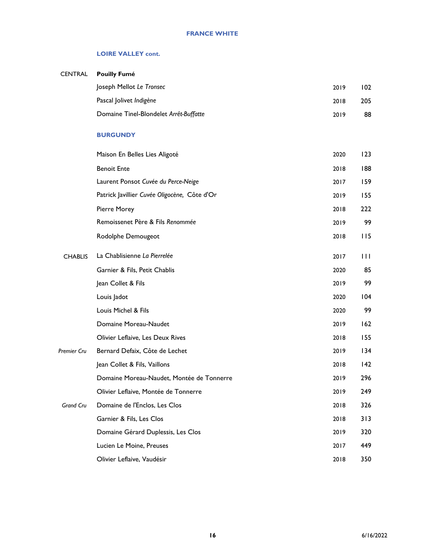#### **LOIRE VALLEY cont.**

## CENTRAL **Pouilly Fumé** Joseph Mellot *Le Tronsec* 2019 102 Pascal Jolivet *Indigène* 2018 205 Domaine Tinel-Blondelet *Arrêt-Buffatte* 2019 88

#### **BURGUNDY**

|                | Maison En Belles Lies Aligoté                | 2020 | 123 |
|----------------|----------------------------------------------|------|-----|
|                | <b>Benoit Ente</b>                           | 2018 | 188 |
|                | Laurent Ponsot Cuvée du Perce-Neige          | 2017 | 159 |
|                | Patrick Javillier Cuvée Oligocène, Côte d'Or | 2019 | 155 |
|                | Pierre Morey                                 | 2018 | 222 |
|                | Remoissenet Père & Fils Renommée             | 2019 | 99  |
|                | Rodolphe Demougeot                           | 2018 | 115 |
| <b>CHABLIS</b> | La Chablisienne La Pierrelée                 | 2017 | Ш   |
|                | Garnier & Fils, Petit Chablis                | 2020 | 85  |
|                | Jean Collet & Fils                           | 2019 | 99  |
|                | Louis Jadot                                  | 2020 | 104 |
|                | Louis Michel & Fils                          | 2020 | 99  |
|                | Domaine Moreau-Naudet                        | 2019 | 162 |
|                | Olivier Leflaive, Les Deux Rives             | 2018 | 155 |
| Premier Cru    | Bernard Defaix, Côte de Lechet               | 2019 | 134 |
|                | Jean Collet & Fils, Vaillons                 | 2018 | 142 |
|                | Domaine Moreau-Naudet, Montée de Tonnerre    | 2019 | 296 |
|                | Olivier Leflaive, Montée de Tonnerre         | 2019 | 249 |
| Grand Cru      | Domaine de l'Enclos, Les Clos                | 2018 | 326 |
|                | Garnier & Fils, Les Clos                     | 2018 | 313 |
|                | Domaine Gérard Duplessis, Les Clos           | 2019 | 320 |
|                | Lucien Le Moine, Preuses                     | 2017 | 449 |
|                | Olivier Leflaive, Vaudésir                   | 2018 | 350 |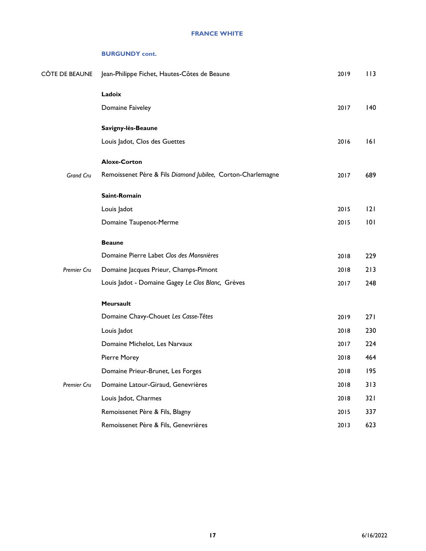| CÔTE DE BEAUNE   | Jean-Philippe Fichet, Hautes-Côtes de Beaune                | 2019 | 113  |
|------------------|-------------------------------------------------------------|------|------|
|                  | Ladoix                                                      |      |      |
|                  | Domaine Faiveley                                            | 2017 | 140  |
|                  | Savigny-lès-Beaune                                          |      |      |
|                  | Louis Jadot, Clos des Guettes                               | 2016 | 6    |
|                  | <b>Aloxe-Corton</b>                                         |      |      |
| <b>Grand Cru</b> | Remoissenet Père & Fils Diamond Jubilee, Corton-Charlemagne | 2017 | 689  |
|                  | Saint-Romain                                                |      |      |
|                  | Louis Jadot                                                 | 2015 | 2    |
|                  | Domaine Taupenot-Merme                                      | 2015 | 101  |
|                  | <b>Beaune</b>                                               |      |      |
|                  | Domaine Pierre Labet Clos des Monsnières                    | 2018 | 229  |
| Premier Cru      | Domaine Jacques Prieur, Champs-Pimont                       | 2018 | 213  |
|                  | Louis Jadot - Domaine Gagey Le Clos Blanc, Grèves           | 2017 | 248  |
|                  | Meursault                                                   |      |      |
|                  | Domaine Chavy-Chouet Les Casse-Têtes                        | 2019 | 27 I |
|                  | Louis Jadot                                                 | 2018 | 230  |
|                  | Domaine Michelot, Les Narvaux                               | 2017 | 224  |
|                  | Pierre Morey                                                | 2018 | 464  |
|                  | Domaine Prieur-Brunet, Les Forges                           | 2018 | 195  |
| Premier Cru      | Domaine Latour-Giraud, Genevrières                          | 2018 | 313  |
|                  | Louis Jadot, Charmes                                        | 2018 | 32 I |
|                  | Remoissenet Père & Fils, Blagny                             | 2015 | 337  |
|                  | Remoissenet Père & Fils, Genevrières                        | 2013 | 623  |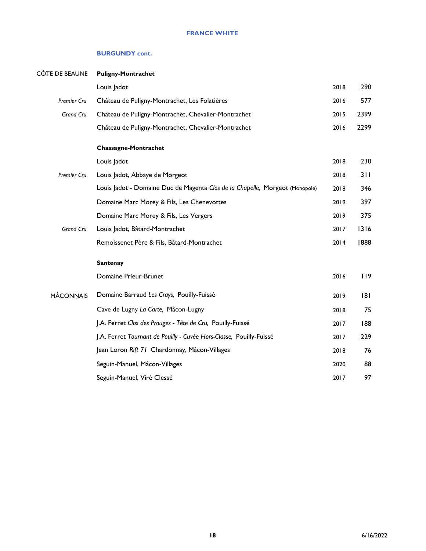#### **FRANCE WHITE**

| CÔTE DE BEAUNE   | <b>Puligny-Montrachet</b>                                                    |      |      |
|------------------|------------------------------------------------------------------------------|------|------|
|                  | Louis Jadot                                                                  | 2018 | 290  |
| Premier Cru      | Château de Puligny-Montrachet, Les Folatières                                | 2016 | 577  |
| Grand Cru        | Château de Puligny-Montrachet, Chevalier-Montrachet                          | 2015 | 2399 |
|                  | Château de Puligny-Montrachet, Chevalier-Montrachet                          | 2016 | 2299 |
|                  | <b>Chassagne-Montrachet</b>                                                  |      |      |
|                  | Louis Jadot                                                                  | 2018 | 230  |
| Premier Cru      | Louis Jadot, Abbaye de Morgeot                                               | 2018 | 311  |
|                  | Louis Jadot - Domaine Duc de Magenta Clos de la Chapelle, Morgeot (Monopole) | 2018 | 346  |
|                  | Domaine Marc Morey & Fils, Les Chenevottes                                   | 2019 | 397  |
|                  | Domaine Marc Morey & Fils, Les Vergers                                       | 2019 | 375  |
| Grand Cru        | Louis Jadot, Bâtard-Montrachet                                               | 2017 | 1316 |
|                  | Remoissenet Père & Fils, Bâtard-Montrachet                                   | 2014 | 1888 |
|                  | <b>Santenay</b>                                                              |      |      |
|                  | Domaine Prieur-Brunet                                                        | 2016 | 119  |
| <b>MÂCONNAIS</b> | Domaine Barraud Les Crays, Pouilly-Fuissé                                    | 2019 | 8    |
|                  | Cave de Lugny La Carte, Mâcon-Lugny                                          | 2018 | 75   |
|                  | J.A. Ferret Clos des Prouges - Tête de Cru, Pouilly-Fuissé                   | 2017 | 188  |
|                  | J.A. Ferret Tournant de Pouilly - Cuvée Hors-Classe, Pouilly-Fuissé          | 2017 | 229  |
|                  | Jean Loron Rift 71 Chardonnay, Mâcon-Villages                                | 2018 | 76   |
|                  | Seguin-Manuel, Mâcon-Villages                                                | 2020 | 88   |
|                  | Seguin-Manuel, Viré Clessé                                                   | 2017 | 97   |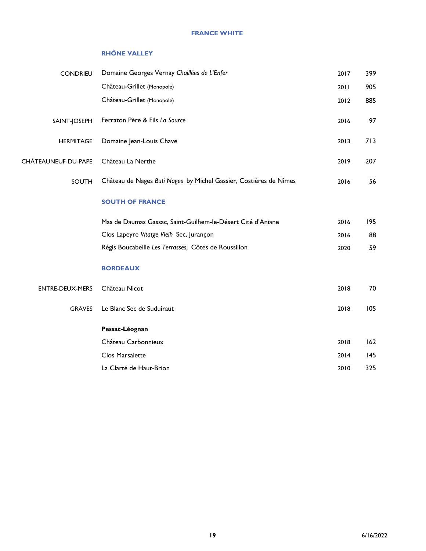#### **RHÔNE VALLEY**

| <b>CONDRIEU</b>     | Domaine Georges Vernay Chaillées de L'Enfer                       | 2017 | 399 |
|---------------------|-------------------------------------------------------------------|------|-----|
|                     | Château-Grillet (Monopole)                                        | 2011 | 905 |
|                     | Château-Grillet (Monopole)                                        | 2012 | 885 |
| SAINT-JOSEPH        | Ferraton Père & Fils La Source                                    | 2016 | 97  |
| <b>HERMITAGE</b>    | Domaine Jean-Louis Chave                                          | 2013 | 713 |
| CHÂTEAUNEUF-DU-PAPE | Château La Nerthe                                                 | 2019 | 207 |
| <b>SOUTH</b>        | Château de Nages Buti Nages by Michel Gassier, Costières de Nîmes | 2016 | 56  |
|                     | <b>SOUTH OF FRANCE</b>                                            |      |     |
|                     | Mas de Daumas Gassac, Saint-Guilhem-le-Désert Cité d'Aniane       | 2016 | 195 |
|                     | Clos Lapeyre Vitatge Vielh Sec, Jurançon                          | 2016 | 88  |
|                     | Régis Boucabeille Les Terrasses, Côtes de Roussillon              | 2020 | 59  |
|                     | <b>BORDEAUX</b>                                                   |      |     |
| ENTRE-DEUX-MERS     | Château Nicot                                                     | 2018 | 70  |
| <b>GRAVES</b>       | Le Blanc Sec de Suduiraut                                         | 2018 | 105 |
|                     | Pessac-Léognan                                                    |      |     |
|                     | Château Carbonnieux                                               | 2018 | 162 |
|                     | Clos Marsalette                                                   | 2014 | 145 |
|                     | La Clarté de Haut-Brion                                           | 2010 | 325 |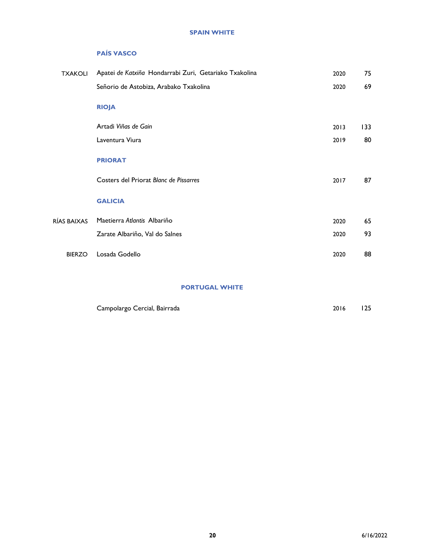#### **PAÍS VASCO**

| <b>TXAKOLI</b> | Apatei de Katxiña Hondarrabi Zuri, Getariako Txakolina | 2020 | 75  |
|----------------|--------------------------------------------------------|------|-----|
|                | Señorio de Astobiza, Arabako Txakolina                 | 2020 | 69  |
|                | <b>RIOJA</b>                                           |      |     |
|                | Artadi Viñas de Gain                                   | 2013 | 133 |
|                | Laventura Viura                                        | 2019 | 80  |
|                | <b>PRIORAT</b>                                         |      |     |
|                | Costers del Priorat Blanc de Pissarres                 | 2017 | 87  |
|                | <b>GALICIA</b>                                         |      |     |
| RÍAS BAIXAS    | Maetierra Atlantis Albariño                            | 2020 | 65  |
|                | Zarate Albariño, Val do Salnes                         | 2020 | 93  |
| <b>BIERZO</b>  | Losada Godello                                         | 2020 | 88  |
|                |                                                        |      |     |

#### **PORTUGAL WHITE**

| Campolargo Cercial, Bairrada | 2016 | 125 |
|------------------------------|------|-----|
|------------------------------|------|-----|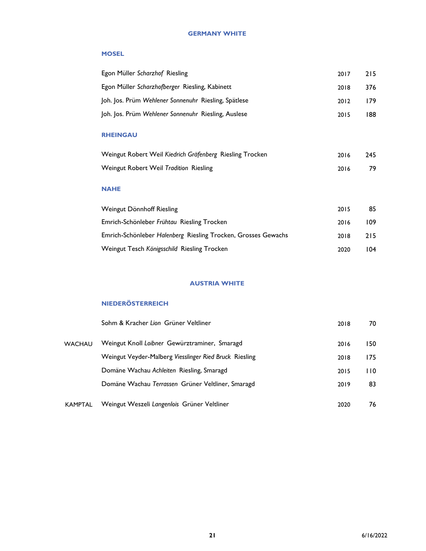#### **GERMANY WHITE**

#### **MOSEL**

| Egon Müller Scharzhof Riesling                              | 2017 | 215 |
|-------------------------------------------------------------|------|-----|
| Egon Müller Scharzhofberger Riesling, Kabinett<br>2018      |      | 376 |
| Joh. Jos. Prüm Wehlener Sonnenuhr Riesling, Spätlese        | 2012 | 179 |
| Joh. Jos. Prüm Wehlener Sonnenuhr Riesling, Auslese<br>2015 |      | 188 |
| <b>RHEINGAU</b>                                             |      |     |
| Weingut Robert Weil Kiedrich Gräfenberg Riesling Trocken    | 2016 | 245 |
| Weingut Robert Weil Tradition Riesling                      | 2016 | 79  |

#### **NAHE**

| Weingut Dönnhoff Riesling                                     | 2015 | 85  |
|---------------------------------------------------------------|------|-----|
| Emrich-Schönleber Frühtau Riesling Trocken                    | 2016 | 109 |
| Emrich-Schönleber Halenberg Riesling Trocken, Grosses Gewachs | 2018 | 215 |
| Weingut Tesch Königsschild Riesling Trocken                   | 2020 | 104 |

#### **AUSTRIA WHITE**

#### **NIEDERÖSTERREICH**

|                | Sohm & Kracher Lion Grüner Veltliner                   | 2018 | 70  |
|----------------|--------------------------------------------------------|------|-----|
| <b>WACHAU</b>  | Weingut Knoll Loibner Gewürztraminer, Smaragd          | 2016 | 150 |
|                | Weingut Veyder-Malberg Viesslinger Ried Bruck Riesling | 2018 | 175 |
|                | Domäne Wachau Achleiten Riesling, Smaragd              | 2015 | 110 |
|                | Domäne Wachau Terrassen Grüner Veltliner, Smaragd      | 2019 | 83  |
| <b>KAMPTAL</b> | Weingut Weszeli Langenlois Grüner Veltliner            | 2020 | 76  |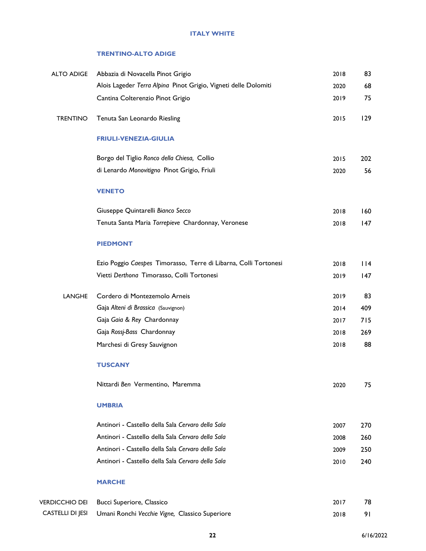#### **ITALY WHITE**

#### **TRENTINO-ALTO ADIGE**

| <b>ALTO ADIGE</b>       | Abbazia di Novacella Pinot Grigio                                | 2018 | 83  |
|-------------------------|------------------------------------------------------------------|------|-----|
|                         | Alois Lageder Terra Alpina Pinot Grigio, Vigneti delle Dolomiti  | 2020 | 68  |
|                         | Cantina Colterenzio Pinot Grigio                                 | 2019 | 75  |
| <b>TRENTINO</b>         | Tenuta San Leonardo Riesling                                     | 2015 | 129 |
|                         | <b>FRIULI-VENEZIA-GIULIA</b>                                     |      |     |
|                         | Borgo del Tiglio Ronco della Chiesa, Collio                      | 2015 | 202 |
|                         | di Lenardo Monovitigno Pinot Grigio, Friuli                      | 2020 | 56  |
|                         | <b>VENETO</b>                                                    |      |     |
|                         | Giuseppe Quintarelli Bianco Secco                                | 2018 | 160 |
|                         | Tenuta Santa Maria Torrepieve Chardonnay, Veronese               | 2018 | 147 |
|                         | <b>PIEDMONT</b>                                                  |      |     |
|                         | Ezio Poggio Caespes Timorasso, Terre di Libarna, Colli Tortonesi | 2018 | 114 |
|                         | Vietti Derthona Timorasso, Colli Tortonesi                       | 2019 | 147 |
| LANGHE                  | Cordero di Montezemolo Arneis                                    | 2019 | 83  |
|                         | Gaja Alteni di Brassica (Sauvignon)                              | 2014 | 409 |
|                         | Gaja Gaia & Rey Chardonnay                                       | 2017 | 715 |
|                         | Gaja Rossj-Bass Chardonnay                                       | 2018 | 269 |
|                         | Marchesi di Gresy Sauvignon                                      | 2018 | 88  |
|                         | <b>TUSCANY</b>                                                   |      |     |
|                         | Nittardi Ben Vermentino, Maremma                                 | 2020 | 75  |
|                         | <b>UMBRIA</b>                                                    |      |     |
|                         | Antinori - Castello della Sala Cervaro della Sala                | 2007 | 270 |
|                         | Antinori - Castello della Sala Cervaro della Sala                | 2008 | 260 |
|                         | Antinori - Castello della Sala Cervaro della Sala                | 2009 | 250 |
|                         | Antinori - Castello della Sala Cervaro della Sala                | 2010 | 240 |
|                         | <b>MARCHE</b>                                                    |      |     |
| <b>VERDICCHIO DEI</b>   | Bucci Superiore, Classico                                        | 2017 | 78  |
| <b>CASTELLI DI JESI</b> | Umani Ronchi Vecchie Vigne, Classico Superiore                   | 2018 | 91  |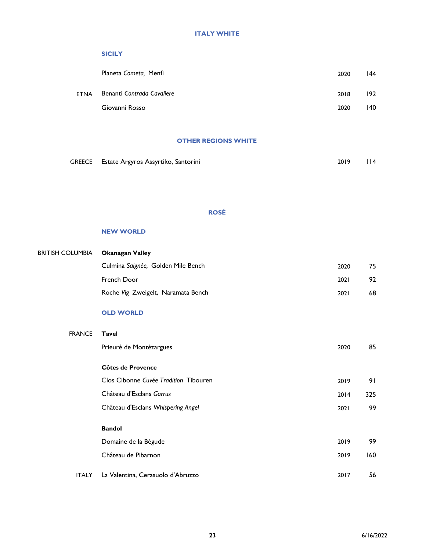#### **SICILY**

|             | Planeta Cometa, Menfi      | 2020 | 144 |
|-------------|----------------------------|------|-----|
| <b>ETNA</b> | Benanti Contrada Cavaliere | 2018 | 192 |
|             | Giovanni Rosso             | 2020 | 140 |

#### **OTHER REGIONS WHITE**

| GREECE Estate Argyros Assyrtiko, Santorini | 2019 114 |  |
|--------------------------------------------|----------|--|
|                                            |          |  |

#### **ROSÉ**

#### **NEW WORLD**

| <b>BRITISH COLUMBIA</b> | <b>Okanagan Valley</b>                |      |     |
|-------------------------|---------------------------------------|------|-----|
|                         | Culmina Saignée, Golden Mile Bench    | 2020 | 75  |
|                         | French Door                           | 2021 | 92  |
|                         | Roche Vig Zweigelt, Naramata Bench    | 2021 | 68  |
|                         | <b>OLD WORLD</b>                      |      |     |
| <b>FRANCE</b>           | <b>Tavel</b>                          |      |     |
|                         | Prieuré de Montézargues               | 2020 | 85  |
|                         | Côtes de Provence                     |      |     |
|                         | Clos Cibonne Cuvée Tradition Tibouren | 2019 | 91  |
|                         | Château d'Esclans Garrus              | 2014 | 325 |
|                         | Château d'Esclans Whispering Angel    | 2021 | 99  |
|                         | <b>Bandol</b>                         |      |     |
|                         | Domaine de la Bégude                  | 2019 | 99  |
|                         | Château de Pibarnon                   | 2019 | 160 |
| <b>ITALY</b>            | La Valentina, Cerasuolo d'Abruzzo     | 2017 | 56  |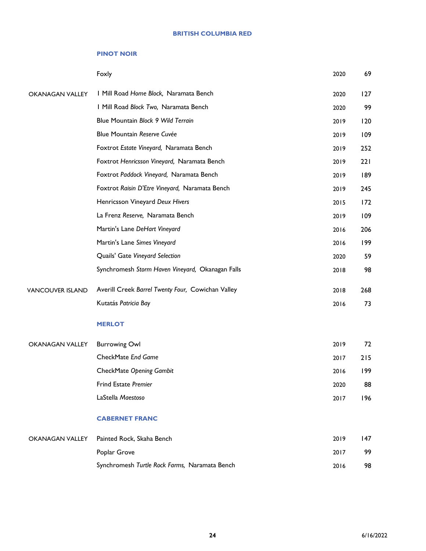#### **BRITISH COLUMBIA RED**

#### **PINOT NOIR**

|                         | Foxly                                             | 2020 | 69  |
|-------------------------|---------------------------------------------------|------|-----|
| <b>OKANAGAN VALLEY</b>  | I Mill Road Home Block, Naramata Bench            | 2020 | 127 |
|                         | I Mill Road Block Two, Naramata Bench             | 2020 | 99  |
|                         | Blue Mountain Block 9 Wild Terrain                | 2019 | 120 |
|                         | Blue Mountain Reserve Cuvée                       | 2019 | 109 |
|                         | Foxtrot Estate Vineyard, Naramata Bench           | 2019 | 252 |
|                         | Foxtrot Henricsson Vineyard, Naramata Bench       | 2019 | 221 |
|                         | Foxtrot Paddock Vineyard, Naramata Bench          | 2019 | 189 |
|                         | Foxtrot Raisin D'Etre Vineyard, Naramata Bench    | 2019 | 245 |
|                         | Henricsson Vineyard Deux Hivers                   | 2015 | 172 |
|                         | La Frenz Reserve, Naramata Bench                  | 2019 | 109 |
|                         | Martin's Lane DeHart Vineyard                     | 2016 | 206 |
|                         | Martin's Lane Simes Vineyard                      | 2016 | 199 |
|                         | Quails' Gate Vineyard Selection                   | 2020 | 59  |
|                         | Synchromesh Storm Haven Vineyard, Okanagan Falls  | 2018 | 98  |
| <b>VANCOUVER ISLAND</b> | Averill Creek Barrel Twenty Four, Cowichan Valley | 2018 | 268 |
|                         | Kutatás Patricia Bay                              | 2016 | 73  |
|                         | <b>MERLOT</b>                                     |      |     |
| <b>OKANAGAN VALLEY</b>  | <b>Burrowing Owl</b>                              | 2019 | 72  |
|                         | CheckMate End Game                                | 2017 | 215 |
|                         | CheckMate Opening Gambit                          | 2016 | 199 |
|                         | <b>Frind Estate Premier</b>                       | 2020 | 88  |
|                         | LaStella Maestoso                                 | 2017 | 196 |
|                         | <b>CABERNET FRANC</b>                             |      |     |
| <b>OKANAGAN VALLEY</b>  | Painted Rock, Skaha Bench                         | 2019 | 147 |
|                         | Poplar Grove                                      | 2017 | 99  |
|                         | Synchromesh Turtle Rock Farms, Naramata Bench     | 2016 | 98  |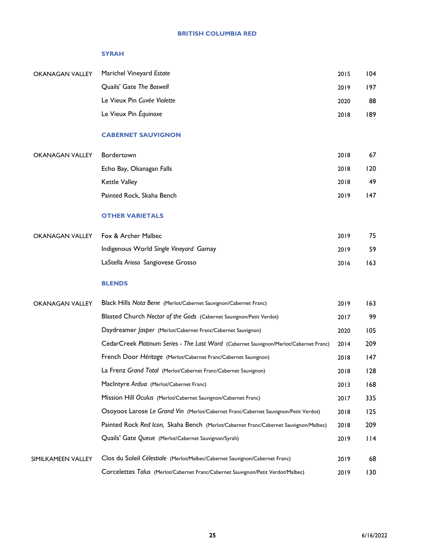#### **SYRAH**

| <b>OKANAGAN VALLEY</b> | Marichel Vineyard Estate    | 2015 | 104 |
|------------------------|-----------------------------|------|-----|
|                        | Quails' Gate The Boswell    | 2019 | 197 |
|                        | Le Vieux Pin Cuvée Violette | 2020 | 88  |
|                        | Le Vieux Pin Équinoxe       | 2018 | 189 |
|                        | <b>CABERNET SAUVIGNON</b>   |      |     |
| <b>OKANAGAN VALLEY</b> | Bordertown                  | 2018 | 67  |
|                        | Echo Bay, Okanagan Falls    | 2018 | 120 |
|                        | <b>Kettle Valley</b>        | 2018 | 49  |
|                        | Painted Rock, Skaha Bench   | 2019 | 147 |

#### **OTHER VARIETALS**

| OKANAGAN VALLEY Fox & Archer Malbec    | 2019 | 75  |
|----------------------------------------|------|-----|
| Indigenous World Single Vineyard Gamay | 2019 | 59  |
| LaStella Arioso Sangiovese Grosso      | 2016 | 163 |

#### **BLENDS**

| <b>OKANAGAN VALLEY</b> | Black Hills Nota Bene (Merlot/Cabernet Sauvignon/Cabernet Franc)                      | 2019 | 163    |
|------------------------|---------------------------------------------------------------------------------------|------|--------|
|                        | Blasted Church Nectar of the Gods (Cabernet Sauvignon/Petit Verdot)                   | 2017 | 99     |
|                        | Daydreamer Jasper (Merlot/Cabernet Franc/Cabernet Sauvignon)                          | 2020 | 105    |
|                        | CedarCreek Platinum Series - The Last Word (Cabernet Sauvignon/Merlot/Cabernet Franc) | 2014 | 209    |
|                        | French Door Héritage (Merlot/Cabernet Franc/Cabernet Sauvignon)                       | 2018 | 147    |
|                        | La Frenz Grand Total (Merlot/Cabernet Franc/Cabernet Sauvignon)                       | 2018 | 128    |
|                        | MacIntyre Ardua (Merlot/Cabernet Franc)                                               | 2013 | 168    |
|                        | Mission Hill Oculus (Merlot/Cabernet Sauvignon/Cabernet Franc)                        | 2017 | 335    |
|                        | Osoyoos Larose Le Grand Vin (Merlot/Cabernet Franc/Cabernet Sauvignon/Petit Verdot)   | 2018 | 125    |
|                        | Painted Rock Red Icon, Skaha Bench (Merlot/Cabernet Franc/Cabernet Sauvignon/Malbec)  | 2018 | 209    |
|                        | Quails' Gate Queue (Merlot/Cabernet Sauvignon/Syrah)                                  | 2019 | $ $  4 |
|                        |                                                                                       |      |        |
| SIMILKAMEEN VALLEY     | Clos du Soleil Célestiale (Merlot/Malbec/Cabernet Sauvignon/Cabernet Franc)           | 2019 | 68     |
|                        | Corcelettes Talus (Merlot/Cabernet Franc/Cabernet Sauvignon/Petit Verdot/Malbec)      | 2019 | 130    |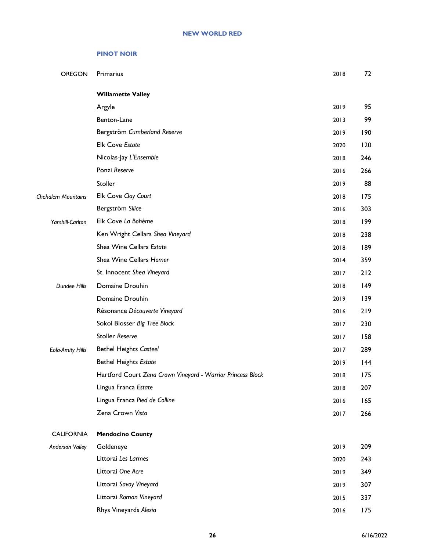#### **PINOT NOIR**

| OREGON                  | Primarius                                                   | 2018 | 72  |
|-------------------------|-------------------------------------------------------------|------|-----|
|                         | <b>Willamette Valley</b>                                    |      |     |
|                         | Argyle                                                      | 2019 | 95  |
|                         | Benton-Lane                                                 | 2013 | 99  |
|                         | Bergström Cumberland Reserve                                | 2019 | 190 |
|                         | <b>Elk Cove Estate</b>                                      | 2020 | 120 |
|                         | Nicolas-Jay L'Ensemble                                      | 2018 | 246 |
|                         | Ponzi Reserve                                               | 2016 | 266 |
|                         | Stoller                                                     | 2019 | 88  |
| Chehalem Mountains      | Elk Cove Clay Court                                         | 2018 | 175 |
|                         | Bergström Silice                                            | 2016 | 303 |
| Yamhill-Carlton         | Elk Cove La Bohème                                          | 2018 | 199 |
|                         | Ken Wright Cellars Shea Vineyard                            | 2018 | 238 |
|                         | Shea Wine Cellars Estate                                    | 2018 | 189 |
|                         | Shea Wine Cellars Homer                                     | 2014 | 359 |
|                         | St. Innocent Shea Vineyard                                  | 2017 | 212 |
| Dundee Hills            | Domaine Drouhin                                             | 2018 | 149 |
|                         | Domaine Drouhin                                             | 2019 | 139 |
|                         | Résonance Découverte Vineyard                               | 2016 | 219 |
|                         | Sokol Blosser Big Tree Block                                | 2017 | 230 |
|                         | <b>Stoller Reserve</b>                                      | 2017 | 158 |
| <b>Eola-Amity Hills</b> | <b>Bethel Heights Casteel</b>                               | 2017 | 289 |
|                         | <b>Bethel Heights Estate</b>                                | 2019 | 144 |
|                         | Hartford Court Zena Crown Vineyard - Warrior Princess Block | 2018 | 175 |
|                         | Lingua Franca Estate                                        | 2018 | 207 |
|                         | Lingua Franca Pied de Colline                               | 2016 | 165 |
|                         | Zena Crown Vista                                            | 2017 | 266 |
| <b>CALIFORNIA</b>       | <b>Mendocino County</b>                                     |      |     |
| <b>Anderson Valley</b>  | Goldeneye                                                   | 2019 | 209 |
|                         | Littorai Les Larmes                                         | 2020 | 243 |
|                         | Littorai One Acre                                           | 2019 | 349 |
|                         | Littorai Savoy Vineyard                                     | 2019 | 307 |
|                         | Littorai Roman Vineyard                                     | 2015 | 337 |
|                         | Rhys Vineyards Alesia                                       | 2016 | 175 |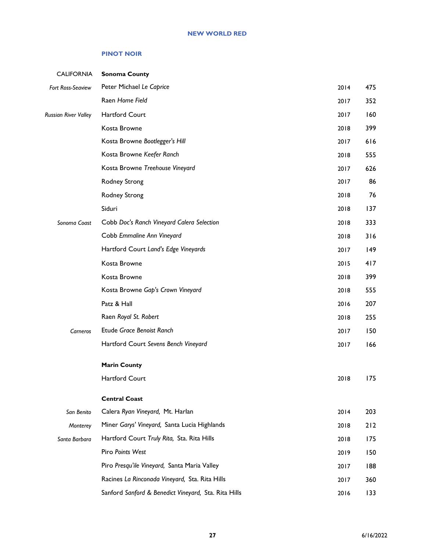#### **PINOT NOIR**

| <b>CALIFORNIA</b>           | <b>Sonoma County</b>                                 |      |     |
|-----------------------------|------------------------------------------------------|------|-----|
| Fort Ross-Seaview           | Peter Michael Le Caprice                             | 2014 | 475 |
|                             | Raen Home Field                                      | 2017 | 352 |
| <b>Russian River Valley</b> | Hartford Court                                       | 2017 | 160 |
|                             | Kosta Browne                                         | 2018 | 399 |
|                             | Kosta Browne Bootlegger's Hill                       | 2017 | 616 |
|                             | Kosta Browne Keefer Ranch                            | 2018 | 555 |
|                             | Kosta Browne Treehouse Vineyard                      | 2017 | 626 |
|                             | Rodney Strong                                        | 2017 | 86  |
|                             | Rodney Strong                                        | 2018 | 76  |
|                             | Siduri                                               | 2018 | 137 |
| Sonoma Coast                | Cobb Doc's Ranch Vineyard Calera Selection           | 2018 | 333 |
|                             | Cobb Emmaline Ann Vineyard                           | 2018 | 316 |
|                             | Hartford Court Land's Edge Vineyards                 | 2017 | 149 |
|                             | Kosta Browne                                         | 2015 | 417 |
|                             | Kosta Browne                                         | 2018 | 399 |
|                             | Kosta Browne Gap's Crown Vineyard                    | 2018 | 555 |
|                             | Patz & Hall                                          | 2016 | 207 |
|                             | Raen Royal St. Robert                                | 2018 | 255 |
| Carneros                    | Etude Grace Benoist Ranch                            | 2017 | 150 |
|                             | Hartford Court Sevens Bench Vineyard                 | 2017 | 166 |
|                             | <b>Marin County</b>                                  |      |     |
|                             | Hartford Court                                       | 2018 | 175 |
|                             | <b>Central Coast</b>                                 |      |     |
| San Benito                  | Calera Ryan Vineyard, Mt. Harlan                     | 2014 | 203 |
| Monterey                    | Miner Garys' Vineyard, Santa Lucia Highlands         | 2018 | 212 |
| Santa Barbara               | Hartford Court Truly Rita, Sta. Rita Hills           | 2018 | 175 |
|                             | Piro Points West                                     | 2019 | 150 |
|                             | Piro Presqu'ile Vineyard, Santa Maria Valley         | 2017 | 188 |
|                             | Racines La Rinconada Vineyard, Sta. Rita Hills       | 2017 | 360 |
|                             | Sanford Sanford & Benedict Vineyard, Sta. Rita Hills | 2016 | 133 |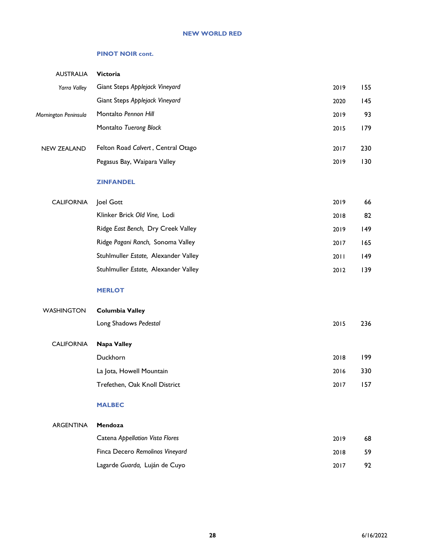#### **NEW WORLD RED**

#### **PINOT NOIR cont.**

| <b>AUSTRALIA</b>     | Victoria                             |      |     |
|----------------------|--------------------------------------|------|-----|
| Yarra Valley         | Giant Steps Applejack Vineyard       | 2019 | 155 |
|                      | Giant Steps Applejack Vineyard       | 2020 | 145 |
| Mornington Peninsula | Montalto Pennon Hill                 | 2019 | 93  |
|                      | Montalto Tuerong Block               | 2015 | 179 |
| <b>NEW ZEALAND</b>   | Felton Road Calvert, Central Otago   | 2017 | 230 |
|                      | Pegasus Bay, Waipara Valley          | 2019 | 130 |
|                      | <b>ZINFANDEL</b>                     |      |     |
| <b>CALIFORNIA</b>    | Joel Gott                            | 2019 | 66  |
|                      | Klinker Brick Old Vine, Lodi         | 2018 | 82  |
|                      | Ridge East Bench, Dry Creek Valley   | 2019 | 149 |
|                      | Ridge Pagani Ranch, Sonoma Valley    | 2017 | 165 |
|                      | Stuhlmuller Estate, Alexander Valley | 2011 | 149 |
|                      | Stuhlmuller Estate, Alexander Valley | 2012 | 139 |
|                      | <b>MERLOT</b>                        |      |     |
| <b>WASHINGTON</b>    | <b>Columbia Valley</b>               |      |     |
|                      | Long Shadows Pedestal                | 2015 | 236 |
| <b>CALIFORNIA</b>    | Napa Valley                          |      |     |
|                      | Duckhorn                             | 2018 | 199 |
|                      | La Jota, Howell Mountain             | 2016 | 330 |
|                      | Trefethen, Oak Knoll District        | 2017 | 157 |
|                      | <b>MALBEC</b>                        |      |     |
| ARGENTINA            | Mendoza                              |      |     |
|                      | Catena Appellation Vista Flores      | 2019 | 68  |
|                      | Finca Decero Remolinos Vineyard      | 2018 | 59  |
|                      | Lagarde Guarda, Luján de Cuyo        | 2017 | 92  |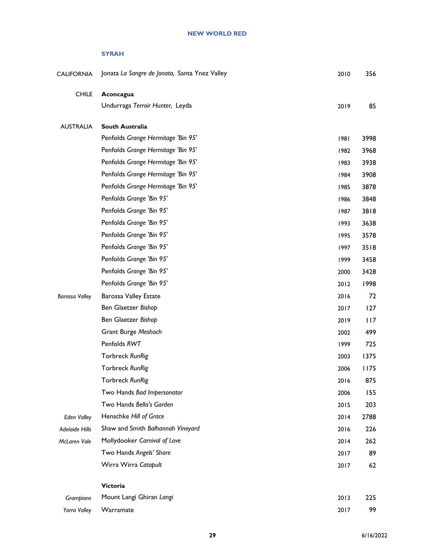#### **SYRAH**

| <b>CALIFORNIA</b>     | Jonata La Sangre de Jonata, Santa Ynez Valley | 2010   | 356  |
|-----------------------|-----------------------------------------------|--------|------|
| <b>CHILE</b>          | Aconcagua                                     |        |      |
|                       | Undurraga Terroir Hunter, Leyda               | 2019   | 85   |
| <b>AUSTRALIA</b>      | South Australia                               |        |      |
|                       | Penfolds Grange Hermitage 'Bin 95'            | 1981   | 3998 |
|                       | Penfolds Grange Hermitage 'Bin 95'            | 1982   | 3968 |
|                       | Penfolds Grange Hermitage 'Bin 95'            | 1983   | 3938 |
|                       | Penfolds Grange Hermitage 'Bin 95'            | 1984   | 3908 |
|                       | Penfolds Grange Hermitage 'Bin 95'            | 1985   | 3878 |
|                       | Penfolds Grange 'Bin 95'                      | 1986   | 3848 |
|                       | Penfolds Grange 'Bin 95'                      | 1987   | 3818 |
|                       | Penfolds Grange 'Bin 95'                      | 1993   | 3638 |
|                       | Penfolds Grange 'Bin 95'                      | 1995   | 3578 |
|                       | Penfolds Grange 'Bin 95'                      | 1997   | 3518 |
|                       | Penfolds Grange 'Bin 95'                      | 1999   | 3458 |
|                       | Penfolds Grange 'Bin 95'                      | 2000   | 3428 |
|                       | Penfolds Grange 'Bin 95'                      | 2012   | 1998 |
| <b>Barossa Valley</b> | <b>Barossa Valley Estate</b>                  | 2016   | 72   |
|                       | Ben Glaetzer Bishop                           | 2017   | 127  |
|                       | Ben Glaetzer Bishop                           | 2019   | 117  |
|                       | Grant Burge Meshach                           | 2002   | 499  |
|                       | Penfolds RWT                                  | 1999   | 725  |
|                       | Torbreck RunRig                               | 2003   | 1375 |
|                       | Torbreck RunRig                               | 2006   | 1175 |
|                       | Torbreck RunRig                               | 2016   | 875  |
|                       | Two Hands Bad Impersonator                    | 2006   | 155  |
|                       | Two Hands Bella's Garden                      | 2015   | 203  |
| <b>Eden Valley</b>    | Henschke Hill of Grace                        | 2014   | 2788 |
| Adelaide Hills        | Shaw and Smith Balhannah Vineyard             | 2016   | 226  |
| McLaren Vale          | Mollydooker Carnival of Love                  | $2014$ | 262  |
|                       | Two Hands Angels' Share                       | 2017   | 89   |
|                       | Wirra Wirra Catapult                          | 2017   | 62   |
|                       | Victoria                                      |        |      |
| Grampians             | Mount Langi Ghiran Langi                      | 2013   | 225  |
| Yarra Valley          | Warramate                                     | 2017   | 99   |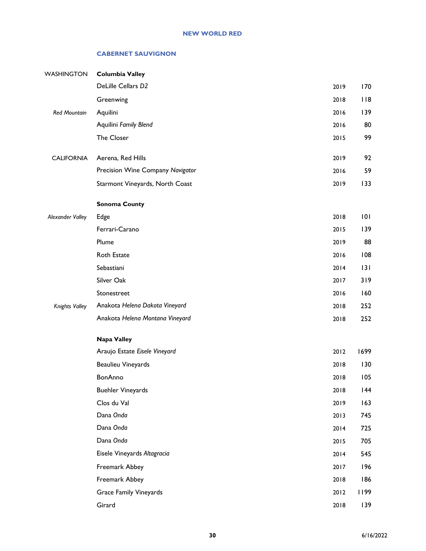#### **CABERNET SAUVIGNON**

| WASHINGTON          | <b>Columbia Valley</b>           |      |      |
|---------------------|----------------------------------|------|------|
|                     | DeLille Cellars D2               | 2019 | 170  |
|                     | Greenwing                        | 2018 | 118  |
| <b>Red Mountain</b> | Aquilini                         | 2016 | 139  |
|                     | Aquilini Family Blend            | 2016 | 80   |
|                     | The Closer                       | 2015 | 99   |
| <b>CALIFORNIA</b>   | Aerena, Red Hills                | 2019 | 92   |
|                     | Precision Wine Company Navigator | 2016 | 59   |
|                     | Starmont Vineyards, North Coast  | 2019 | 133  |
|                     | <b>Sonoma County</b>             |      |      |
| Alexander Valley    | Edge                             | 2018 | 101  |
|                     | Ferrari-Carano                   | 2015 | 139  |
|                     | Plume                            | 2019 | 88   |
|                     | Roth Estate                      | 2016 | 108  |
|                     | Sebastiani                       | 2014 | 3    |
|                     | Silver Oak                       | 2017 | 319  |
|                     | Stonestreet                      | 2016 | 160  |
| Knights Valley      | Anakota Helena Dakota Vineyard   | 2018 | 252  |
|                     | Anakota Helena Montana Vineyard  | 2018 | 252  |
|                     | <b>Napa Valley</b>               |      |      |
|                     | Araujo Estate Eisele Vineyard    | 2012 | 1699 |
|                     | <b>Beaulieu Vineyards</b>        | 2018 | 130  |
|                     | BonAnno                          | 2018 | 105  |
|                     | <b>Buehler Vineyards</b>         | 2018 | 44   |
|                     | Clos du Val                      | 2019 | 163  |
|                     | Dana Onda                        | 2013 | 745  |
|                     | Dana Onda                        | 2014 | 725  |
|                     | Dana Onda                        | 2015 | 705  |
|                     | Eisele Vineyards Altagracia      | 2014 | 545  |
|                     | Freemark Abbey                   | 2017 | 196  |
|                     | Freemark Abbey                   | 2018 | 186  |
|                     | <b>Grace Family Vineyards</b>    | 2012 | 1199 |
|                     | Girard                           | 2018 | 139  |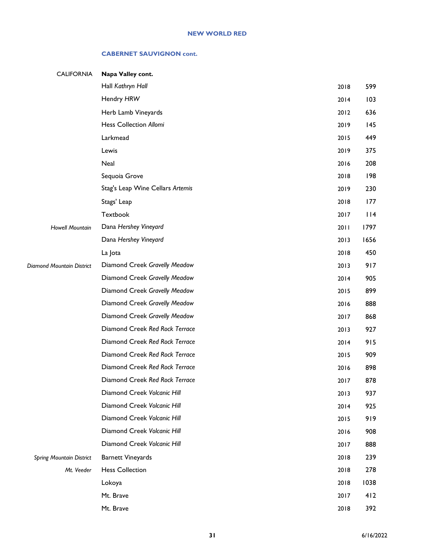#### **CABERNET SAUVIGNON cont.**

| <b>CALIFORNIA</b>               | Napa Valley cont.                |      |      |
|---------------------------------|----------------------------------|------|------|
|                                 | Hall Kathryn Hall                | 2018 | 599  |
|                                 | Hendry HRW                       | 2014 | 103  |
|                                 | Herb Lamb Vineyards              | 2012 | 636  |
|                                 | Hess Collection Allomi           | 2019 | 145  |
|                                 | Larkmead                         | 2015 | 449  |
|                                 | Lewis                            | 2019 | 375  |
|                                 | Neal                             | 2016 | 208  |
|                                 | Sequoia Grove                    | 2018 | 198  |
|                                 | Stag's Leap Wine Cellars Artemis | 2019 | 230  |
|                                 | Stags' Leap                      | 2018 | 177  |
|                                 | Textbook                         | 2017 | 114  |
| <b>Howell Mountain</b>          | Dana Hershey Vineyard            | 2011 | 1797 |
|                                 | Dana Hershey Vineyard            | 2013 | 1656 |
|                                 | La Jota                          | 2018 | 450  |
| Diamond Mountain District       | Diamond Creek Gravelly Meadow    | 2013 | 917  |
|                                 | Diamond Creek Gravelly Meadow    | 2014 | 905  |
|                                 | Diamond Creek Gravelly Meadow    | 2015 | 899  |
|                                 | Diamond Creek Gravelly Meadow    | 2016 | 888  |
|                                 | Diamond Creek Gravelly Meadow    | 2017 | 868  |
|                                 | Diamond Creek Red Rock Terrace   | 2013 | 927  |
|                                 | Diamond Creek Red Rock Terrace   | 2014 | 915  |
|                                 | Diamond Creek Red Rock Terrace   | 2015 | 909  |
|                                 | Diamond Creek Red Rock Terrace   | 2016 | 898  |
|                                 | Diamond Creek Red Rock Terrace   | 2017 | 878  |
|                                 | Diamond Creek Volcanic Hill      | 2013 | 937  |
|                                 | Diamond Creek Volcanic Hill      | 2014 | 925  |
|                                 | Diamond Creek Volcanic Hill      | 2015 | 919  |
|                                 | Diamond Creek Volcanic Hill      | 2016 | 908  |
|                                 | Diamond Creek Volcanic Hill      | 2017 | 888  |
| <b>Spring Mountain District</b> | <b>Barnett Vineyards</b>         | 2018 | 239  |
| Mt. Veeder                      | <b>Hess Collection</b>           | 2018 | 278  |
|                                 | Lokoya                           | 2018 | 1038 |
|                                 | Mt. Brave                        | 2017 | 412  |
|                                 | Mt. Brave                        | 2018 | 392  |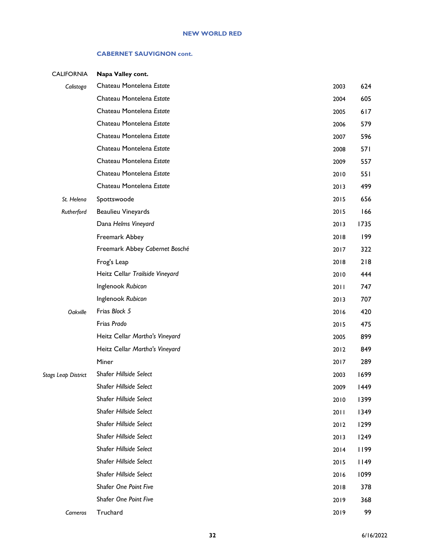#### **CABERNET SAUVIGNON cont.**

| <b>CALIFORNIA</b>   | Napa Valley cont.               |      |            |
|---------------------|---------------------------------|------|------------|
| Calistoga           | Chateau Montelena Estate        | 2003 | 624        |
|                     | Chateau Montelena Estate        | 2004 | 605        |
|                     | Chateau Montelena Estate        | 2005 | 617        |
|                     | Chateau Montelena Estate        | 2006 | 579        |
|                     | Chateau Montelena Estate        | 2007 | 596        |
|                     | Chateau Montelena Estate        | 2008 | <b>571</b> |
|                     | Chateau Montelena Estate        | 2009 | 557        |
|                     | Chateau Montelena Estate        | 2010 | 551        |
|                     | Chateau Montelena Estate        | 2013 | 499        |
| St. Helena          | Spottswoode                     | 2015 | 656        |
| Rutherford          | <b>Beaulieu Vineyards</b>       | 2015 | 166        |
|                     | Dana Helms Vineyard             | 2013 | 1735       |
|                     | Freemark Abbey                  | 2018 | 199        |
|                     | Freemark Abbey Cabernet Bosché  | 2017 | 322        |
|                     | Frog's Leap                     | 2018 | 218        |
|                     | Heitz Cellar Trailside Vineyard | 2010 | 444        |
|                     | Inglenook Rubicon               | 2011 | 747        |
|                     | Inglenook Rubicon               | 2013 | 707        |
| Oakville            | Frias Block 5                   | 2016 | 420        |
|                     | Frias Prado                     | 2015 | 475        |
|                     | Heitz Cellar Martha's Vineyard  | 2005 | 899        |
|                     | Heitz Cellar Martha's Vineyard  | 2012 | 849        |
|                     | Miner                           | 2017 | 289        |
| Stags Leap District | Shafer Hillside Select          | 2003 | 1699       |
|                     | Shafer Hillside Select          | 2009 | 1449       |
|                     | Shafer Hillside Select          | 2010 | 1399       |
|                     | Shafer Hillside Select          | 2011 | 1349       |
|                     | Shafer Hillside Select          | 2012 | 1299       |
|                     | Shafer Hillside Select          | 2013 | 1249       |
|                     | Shafer Hillside Select          | 2014 | 1199       |
|                     | Shafer Hillside Select          | 2015 | 1149       |
|                     | Shafer Hillside Select          | 2016 | 1099       |
|                     | Shafer One Point Five           | 2018 | 378        |
|                     | Shafer One Point Five           | 2019 | 368        |
| Carneros            | Truchard                        | 2019 | 99         |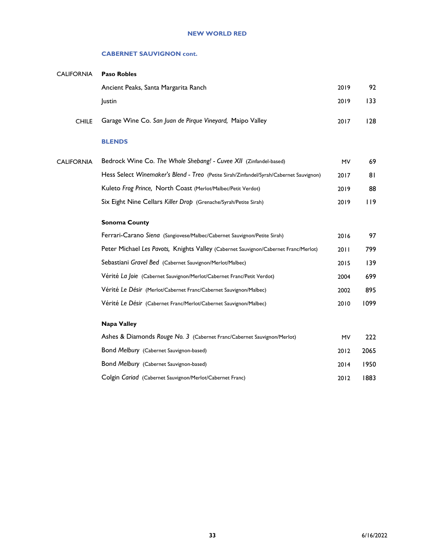#### **CABERNET SAUVIGNON cont.**

| <b>CALIFORNIA</b> | <b>Paso Robles</b>                                                                     |           |      |
|-------------------|----------------------------------------------------------------------------------------|-----------|------|
|                   | Ancient Peaks, Santa Margarita Ranch                                                   | 2019      | 92   |
|                   | Justin                                                                                 | 2019      | 133  |
| <b>CHILE</b>      | Garage Wine Co. San Juan de Pirque Vineyard, Maipo Valley                              | 2017      | 128  |
|                   | <b>BLENDS</b>                                                                          |           |      |
| <b>CALIFORNIA</b> | Bedrock Wine Co. The Whole Shebang! - Cuvee XII (Zinfandel-based)                      | <b>MV</b> | 69   |
|                   | Hess Select Winemaker's Blend - Treo (Petite Sirah/Zinfandel/Syrah/Cabernet Sauvignon) | 2017      | 81   |
|                   | Kuleto Frog Prince, North Coast (Merlot/Malbec/Petit Verdot)                           | 2019      | 88   |
|                   | Six Eight Nine Cellars Killer Drop (Grenache/Syrah/Petite Sirah)                       | 2019      | 119  |
|                   | <b>Sonoma County</b>                                                                   |           |      |
|                   | Ferrari-Carano Siena (Sangiovese/Malbec/Cabernet Sauvignon/Petite Sirah)               | 2016      | 97   |
|                   | Peter Michael Les Pavots, Knights Valley (Cabernet Sauvignon/Cabernet Franc/Merlot)    | 2011      | 799  |
|                   | Sebastiani Gravel Bed (Cabernet Sauvignon/Merlot/Malbec)                               | 2015      | 139  |
|                   | Vérité La Joie (Cabernet Sauvignon/Merlot/Cabernet Franc/Petit Verdot)                 | 2004      | 699  |
|                   | Vérité Le Désir (Merlot/Cabernet Franc/Cabernet Sauvignon/Malbec)                      | 2002      | 895  |
|                   | Vérité Le Désir (Cabernet Franc/Merlot/Cabernet Sauvignon/Malbec)                      | 2010      | 1099 |
|                   | <b>Napa Valley</b>                                                                     |           |      |
|                   | Ashes & Diamonds Rouge No. 3 (Cabernet Franc/Cabernet Sauvignon/Merlot)                | MV        | 222  |
|                   | Bond Melbury (Cabernet Sauvignon-based)                                                | 2012      | 2065 |
|                   | Bond Melbury (Cabernet Sauvignon-based)                                                | 2014      | 1950 |
|                   | Colgin Cariad (Cabernet Sauvignon/Merlot/Cabernet Franc)                               | 2012      | 1883 |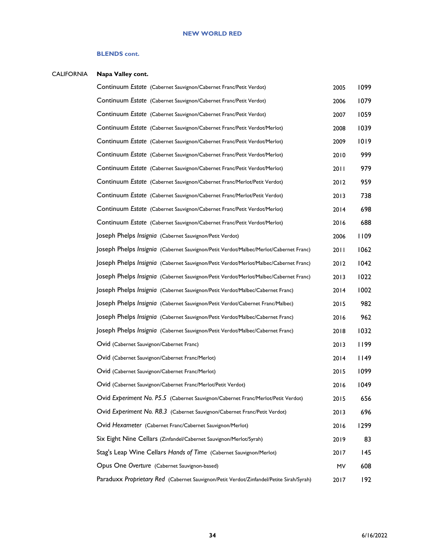#### **BLENDS cont.**

### CALIFORNIA **Napa Valley cont.**

| Continuum Estate (Cabernet Sauvignon/Cabernet Franc/Petit Verdot)                       | 2005 | 1099 |
|-----------------------------------------------------------------------------------------|------|------|
| Continuum Estate (Cabernet Sauvignon/Cabernet Franc/Petit Verdot)                       | 2006 | 1079 |
| Continuum Estate (Cabernet Sauvignon/Cabernet Franc/Petit Verdot)                       | 2007 | 1059 |
| Continuum Estate (Cabernet Sauvignon/Cabernet Franc/Petit Verdot/Merlot)                | 2008 | 1039 |
| Continuum Estate (Cabernet Sauvignon/Cabernet Franc/Petit Verdot/Merlot)                | 2009 | 1019 |
| Continuum Estate (Cabernet Sauvignon/Cabernet Franc/Petit Verdot/Merlot)                | 2010 | 999  |
| Continuum Estate (Cabernet Sauvignon/Cabernet Franc/Petit Verdot/Merlot)                | 2011 | 979  |
| Continuum Estate (Cabernet Sauvignon/Cabernet Franc/Merlot/Petit Verdot)                | 2012 | 959  |
| Continuum Estate (Cabernet Sauvignon/Cabernet Franc/Merlot/Petit Verdot)                | 2013 | 738  |
| Continuum Estate (Cabernet Sauvignon/Cabernet Franc/Petit Verdot/Merlot)                | 2014 | 698  |
| Continuum Estate (Cabernet Sauvignon/Cabernet Franc/Petit Verdot/Merlot)                | 2016 | 688  |
| Joseph Phelps Insignia (Cabernet Sauvignon/Petit Verdot)                                | 2006 | 1109 |
| JOSeph Phelps Insignia (Cabernet Sauvignon/Petit Verdot/Malbec/Merlot/Cabernet Franc)   | 2011 | 1062 |
| OSeph Phelps Insignia (Cabernet Sauvignon/Petit Verdot/Merlot/Malbec/Cabernet Franc)    | 2012 | 1042 |
| Joseph Phelps Insignia (Cabernet Sauvignon/Petit Verdot/Merlot/Malbec/Cabernet Franc)   | 2013 | 1022 |
| JOSeph Phelps Insignia (Cabernet Sauvignon/Petit Verdot/Malbec/Cabernet Franc)          | 2014 | 1002 |
| JOSeph Phelps Insignia (Cabernet Sauvignon/Petit Verdot/Cabernet Franc/Malbec)          | 2015 | 982  |
| JOSeph Phelps Insignia (Cabernet Sauvignon/Petit Verdot/Malbec/Cabernet Franc)          | 2016 | 962  |
| JOSeph Phelps Insignia (Cabernet Sauvignon/Petit Verdot/Malbec/Cabernet Franc)          | 2018 | 1032 |
| Ovid (Cabernet Sauvignon/Cabernet Franc)                                                | 2013 | 1199 |
| Ovid (Cabernet Sauvignon/Cabernet Franc/Merlot)                                         | 2014 | 1149 |
| Ovid (Cabernet Sauvignon/Cabernet Franc/Merlot)                                         | 2015 | 1099 |
| Ovid (Cabernet Sauvignon/Cabernet Franc/Merlot/Petit Verdot)                            | 2016 | 1049 |
| Ovid Experiment No. P5.5 (Cabernet Sauvignon/Cabernet Franc/Merlot/Petit Verdot)        | 2015 | 656  |
| Ovid Experiment No. R8.3 (Cabernet Sauvignon/Cabernet Franc/Petit Verdot)               | 2013 | 696  |
| Ovid Hexameter (Cabernet Franc/Cabernet Sauvignon/Merlot)                               | 2016 | 1299 |
| Six Eight Nine Cellars (Zinfandel/Cabernet Sauvignon/Merlot/Syrah)                      | 2019 | 83   |
| Stag's Leap Wine Cellars Hands of Time (Cabernet Sauvignon/Merlot)                      | 2017 | 145  |
| Opus One Overture (Cabernet Sauvignon-based)                                            | MV   | 608  |
| Paraduxx Proprietary Red (Cabernet Sauvignon/Petit Verdot/Zinfandel/Petite Sirah/Syrah) | 2017 | 192  |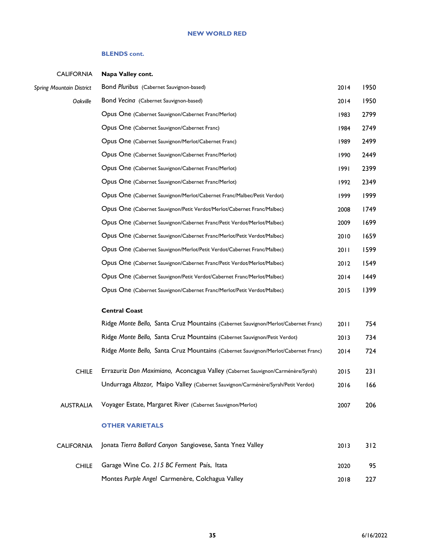#### **BLENDS cont.**

| <b>CALIFORNIA</b>               | Napa Valley cont.                                                                  |      |      |
|---------------------------------|------------------------------------------------------------------------------------|------|------|
| <b>Spring Mountain District</b> | Bond Pluribus (Cabernet Sauvignon-based)                                           | 2014 | 1950 |
| Oakville                        | Bond Vecina (Cabernet Sauvignon-based)                                             | 2014 | 1950 |
|                                 | Opus One (Cabernet Sauvignon/Cabernet Franc/Merlot)                                | 1983 | 2799 |
|                                 | Opus One (Cabernet Sauvignon/Cabernet Franc)                                       | 1984 | 2749 |
|                                 | Opus One (Cabernet Sauvignon/Merlot/Cabernet Franc)                                | 1989 | 2499 |
|                                 | Opus One (Cabernet Sauvignon/Cabernet Franc/Merlot)                                | 1990 | 2449 |
|                                 | Opus One (Cabernet Sauvignon/Cabernet Franc/Merlot)                                | 1991 | 2399 |
|                                 | Opus One (Cabernet Sauvignon/Cabernet Franc/Merlot)                                | 1992 | 2349 |
|                                 | Opus One (Cabernet Sauvignon/Merlot/Cabernet Franc/Malbec/Petit Verdot)            | 1999 | 1999 |
|                                 | Opus One (Cabernet Sauvignon/Petit Verdot/Merlot/Cabernet Franc/Malbec)            | 2008 | 1749 |
|                                 | Opus One (Cabernet Sauvignon/Cabernet Franc/Petit Verdot/Merlot/Malbec)            | 2009 | 1699 |
|                                 | Opus One (Cabernet Sauvignon/Cabernet Franc/Merlot/Petit Verdot/Malbec)            | 2010 | 1659 |
|                                 | Opus One (Cabernet Sauvignon/Merlot/Petit Verdot/Cabernet Franc/Malbec)            | 2011 | 1599 |
|                                 | Opus One (Cabernet Sauvignon/Cabernet Franc/Petit Verdot/Merlot/Malbec)            | 2012 | 1549 |
|                                 | Opus One (Cabernet Sauvignon/Petit Verdot/Cabernet Franc/Merlot/Malbec)            | 2014 | 1449 |
|                                 | Opus One (Cabernet Sauvignon/Cabernet Franc/Merlot/Petit Verdot/Malbec)            | 2015 | 1399 |
|                                 |                                                                                    |      |      |
|                                 | <b>Central Coast</b>                                                               |      |      |
|                                 | Ridge Monte Bello, Santa Cruz Mountains (Cabernet Sauvignon/Merlot/Cabernet Franc) | 2011 | 754  |
|                                 | Ridge Monte Bello, Santa Cruz Mountains (Cabernet Sauvignon/Petit Verdot)          | 2013 | 734  |
|                                 | Ridge Monte Bello, Santa Cruz Mountains (Cabernet Sauvignon/Merlot/Cabernet Franc) | 2014 | 724  |
| <b>CHILE</b>                    | Errazuriz Don Maximiano, Aconcagua Valley (Cabernet Sauvignon/Carménère/Syrah)     | 2015 | 231  |
|                                 | Undurraga Altazor, Maipo Valley (Cabernet Sauvignon/Carménère/Syrah/Petit Verdot)  | 2016 | 166  |
|                                 | Voyager Estate, Margaret River (Cabernet Sauvignon/Merlot)                         |      |      |
| <b>AUSTRALIA</b>                |                                                                                    | 2007 | 206  |
|                                 | <b>OTHER VARIETALS</b>                                                             |      |      |
| <b>CALIFORNIA</b>               | Jonata Tierra Ballard Canyon Sangiovese, Santa Ynez Valley                         | 2013 | 312  |
| <b>CHILE</b>                    | Garage Wine Co. 215 BC Ferment País, Itata                                         | 2020 | 95   |
|                                 | Montes Purple Angel Carmenère, Colchagua Valley                                    | 2018 | 227  |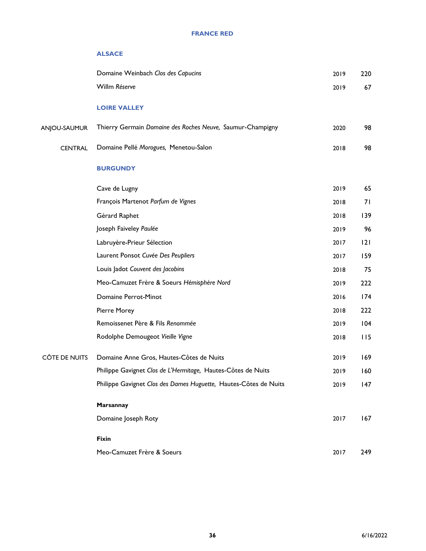#### **FRANCE RED**

#### **ALSACE**

|                | Domaine Weinbach Clos des Capucins                               | 2019 | 220 |
|----------------|------------------------------------------------------------------|------|-----|
|                | Willm Réserve                                                    | 2019 | 67  |
|                | <b>LOIRE VALLEY</b>                                              |      |     |
| ANJOU-SAUMUR   | Thierry Germain Domaine des Roches Neuve, Saumur-Champigny       | 2020 | 98  |
| <b>CENTRAL</b> | Domaine Pellé Morogues, Menetou-Salon                            | 2018 | 98  |
|                | <b>BURGUNDY</b>                                                  |      |     |
|                | Cave de Lugny                                                    | 2019 | 65  |
|                | François Martenot Parfum de Vignes                               | 2018 | 71  |
|                | Gérard Raphet                                                    | 2018 | 139 |
|                | Joseph Faiveley Paulée                                           | 2019 | 96  |
|                | Labruyère-Prieur Sélection                                       | 2017 | 2   |
|                | Laurent Ponsot Cuvée Des Peupliers                               | 2017 | 159 |
|                | Louis Jadot Couvent des Jacobins                                 | 2018 | 75  |
|                | Meo-Camuzet Frère & Soeurs Hémisphère Nord                       | 2019 | 222 |
|                | Domaine Perrot-Minot                                             | 2016 | 174 |
|                | Pierre Morey                                                     | 2018 | 222 |
|                | Remoissenet Père & Fils Renommée                                 | 2019 | 104 |
|                | Rodolphe Demougeot Vieille Vigne                                 | 2018 | 115 |
| CÔTE DE NUITS  | Domaine Anne Gros, Hautes-Côtes de Nuits                         | 2019 | 169 |
|                | Philippe Gavignet Clos de L'Hermitage, Hautes-Côtes de Nuits     | 2019 | 160 |
|                | Philippe Gavignet Clos des Dames Huguette, Hautes-Côtes de Nuits | 2019 | 147 |
|                | Marsannay                                                        |      |     |
|                | Domaine Joseph Roty                                              | 2017 | 167 |
|                | <b>Fixin</b>                                                     |      |     |
|                | Meo-Camuzet Frère & Soeurs                                       | 2017 | 249 |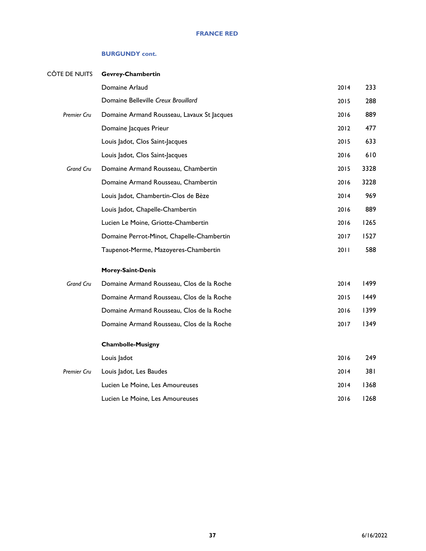| CÔTE DE NUITS      | Gevrey-Chambertin                          |      |      |
|--------------------|--------------------------------------------|------|------|
|                    | Domaine Arlaud                             | 2014 | 233  |
|                    | Domaine Belleville Creux Brouillard        | 2015 | 288  |
| <b>Premier Cru</b> | Domaine Armand Rousseau, Lavaux St Jacques | 2016 | 889  |
|                    | Domaine Jacques Prieur                     | 2012 | 477  |
|                    | Louis Jadot, Clos Saint-Jacques            | 2015 | 633  |
|                    | Louis Jadot, Clos Saint-Jacques            | 2016 | 610  |
| Grand Cru          | Domaine Armand Rousseau, Chambertin        | 2015 | 3328 |
|                    | Domaine Armand Rousseau, Chambertin        | 2016 | 3228 |
|                    | Louis Jadot, Chambertin-Clos de Bèze       | 2014 | 969  |
|                    | Louis Jadot, Chapelle-Chambertin           | 2016 | 889  |
|                    | Lucien Le Moine, Griotte-Chambertin        | 2016 | 1265 |
|                    | Domaine Perrot-Minot, Chapelle-Chambertin  | 2017 | 1527 |
|                    | Taupenot-Merme, Mazoyeres-Chambertin       | 2011 | 588  |
|                    | <b>Morey-Saint-Denis</b>                   |      |      |
| Grand Cru          | Domaine Armand Rousseau, Clos de la Roche  | 2014 | 1499 |
|                    | Domaine Armand Rousseau, Clos de la Roche  | 2015 | 1449 |
|                    | Domaine Armand Rousseau, Clos de la Roche  | 2016 | 1399 |
|                    | Domaine Armand Rousseau, Clos de la Roche  | 2017 | 1349 |
|                    | <b>Chambolle-Musigny</b>                   |      |      |
|                    | Louis Jadot                                | 2016 | 249  |
| <b>Premier Cru</b> | Louis Jadot, Les Baudes                    | 2014 | 38 I |
|                    | Lucien Le Moine, Les Amoureuses            | 2014 | 1368 |
|                    | Lucien Le Moine, Les Amoureuses            | 2016 | 1268 |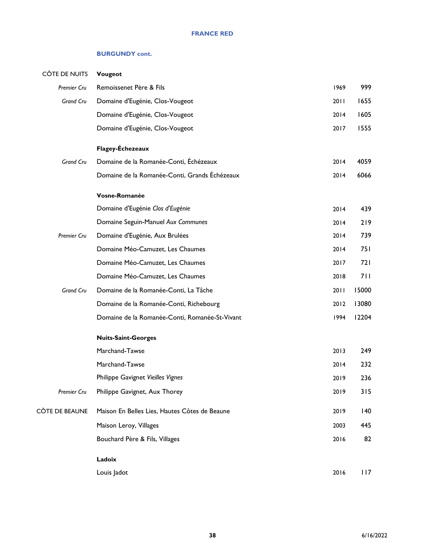| CÔTE DE NUITS    | Vougeot                                        |      |       |
|------------------|------------------------------------------------|------|-------|
| Premier Cru      | Remoissenet Père & Fils                        | 1969 | 999   |
| Grand Cru        | Domaine d'Eugénie, Clos-Vougeot                | 2011 | 1655  |
|                  | Domaine d'Eugénie, Clos-Vougeot                | 2014 | 1605  |
|                  | Domaine d'Eugénie, Clos-Vougeot                | 2017 | 1555  |
|                  | Flagey-Échezeaux                               |      |       |
| <b>Grand Cru</b> | Domaine de la Romanée-Conti, Échézeaux         | 2014 | 4059  |
|                  | Domaine de la Romanée-Conti, Grands Échézeaux  | 2014 | 6066  |
|                  | Vosne-Romanée                                  |      |       |
|                  | Domaine d'Eugénie Clos d'Eugénie               | 2014 | 439   |
|                  | Domaine Seguin-Manuel Aux Communes             | 2014 | 219   |
| Premier Cru      | Domaine d'Eugénie, Aux Brulées                 | 2014 | 739   |
|                  | Domaine Méo-Camuzet, Les Chaumes               | 2014 | 751   |
|                  | Domaine Méo-Camuzet, Les Chaumes               | 2017 | 721   |
|                  | Domaine Méo-Camuzet, Les Chaumes               | 2018 | 711   |
| Grand Cru        | Domaine de la Romanée-Conti, La Tâche          | 2011 | 15000 |
|                  | Domaine de la Romanée-Conti, Richebourg        | 2012 | 13080 |
|                  | Domaine de la Romanée-Conti, Romanée-St-Vivant | 1994 | 12204 |
|                  | <b>Nuits-Saint-Georges</b>                     |      |       |
|                  | Marchand-Tawse                                 | 2013 | 249   |
|                  | Marchand-Tawse                                 | 2014 | 232   |
|                  | Philippe Gavignet Vieilles Vignes              | 2019 | 236   |
| Premier Cru      | Philippe Gavignet, Aux Thorey                  | 2019 | 315   |
| CÔTE DE BEAUNE   | Maison En Belles Lies, Hautes Côtes de Beaune  | 2019 | 140   |
|                  | Maison Leroy, Villages                         | 2003 | 445   |
|                  | Bouchard Père & Fils, Villages                 | 2016 | 82    |
|                  | Ladoix                                         |      |       |
|                  | Louis Jadot                                    | 2016 | 117   |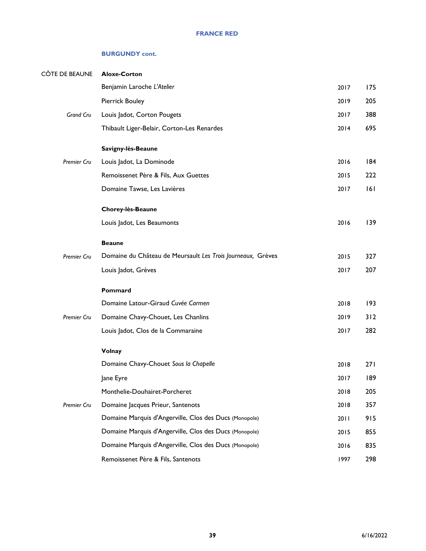| CÔTE DE BEAUNE     | <b>Aloxe-Corton</b>                                         |      |     |
|--------------------|-------------------------------------------------------------|------|-----|
|                    | Benjamin Laroche L'Atelier                                  | 2017 | 175 |
|                    | <b>Pierrick Bouley</b>                                      | 2019 | 205 |
| Grand Cru          | Louis Jadot, Corton Pougets                                 | 2017 | 388 |
|                    | Thibault Liger-Belair, Corton-Les Renardes                  | 2014 | 695 |
|                    | Savigny-lès-Beaune                                          |      |     |
| Premier Cru        | Louis Jadot, La Dominode                                    | 2016 | 184 |
|                    | Remoissenet Père & Fils, Aux Guettes                        | 2015 | 222 |
|                    | Domaine Tawse, Les Lavières                                 | 2017 | 6   |
|                    | Chorey-lès-Beaune                                           |      |     |
|                    | Louis Jadot, Les Beaumonts                                  | 2016 | 139 |
|                    | <b>Beaune</b>                                               |      |     |
| <b>Premier Cru</b> | Domaine du Château de Meursault Les Trois Journeaux, Grèves | 2015 | 327 |
|                    | Louis Jadot, Grèves                                         | 2017 | 207 |
|                    | Pommard                                                     |      |     |
|                    | Domaine Latour-Giraud Cuvée Carmen                          | 2018 | 193 |
| Premier Cru        | Domaine Chavy-Chouet, Les Chanlins                          | 2019 | 312 |
|                    | Louis Jadot, Clos de la Commaraine                          | 2017 | 282 |
|                    | <b>Volnay</b>                                               |      |     |
|                    | Domaine Chavy-Chouet Sous la Chapelle                       | 2018 | 271 |
|                    | Jane Eyre                                                   | 2017 | 189 |
|                    | Monthelie-Douhairet-Porcheret                               | 2018 | 205 |
| Premier Cru        | Domaine Jacques Prieur, Santenots                           | 2018 | 357 |
|                    | Domaine Marquis d'Angerville, Clos des Ducs (Monopole)      | 2011 | 915 |
|                    | Domaine Marquis d'Angerville, Clos des Ducs (Monopole)      | 2015 | 855 |
|                    | Domaine Marquis d'Angerville, Clos des Ducs (Monopole)      | 2016 | 835 |
|                    | Remoissenet Père & Fils, Santenots                          | 1997 | 298 |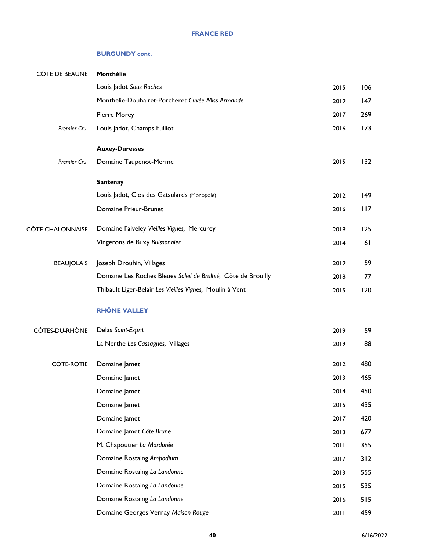| <b>CÔTE DE BEAUNE</b>   | Monthélie                                                     |      |     |
|-------------------------|---------------------------------------------------------------|------|-----|
|                         | Louis Jadot Sous Roches                                       | 2015 | 106 |
|                         | Monthelie-Douhairet-Porcheret Cuvée Miss Armande              | 2019 | 147 |
|                         | Pierre Morey                                                  | 2017 | 269 |
| Premier Cru             | Louis Jadot, Champs Fulliot                                   | 2016 | 173 |
|                         | <b>Auxey-Duresses</b>                                         |      |     |
| Premier Cru             | Domaine Taupenot-Merme                                        | 2015 | 132 |
|                         | <b>Santenay</b>                                               |      |     |
|                         | Louis Jadot, Clos des Gatsulards (Monopole)                   | 2012 | 149 |
|                         | Domaine Prieur-Brunet                                         | 2016 | 117 |
| <b>CÔTE CHALONNAISE</b> | Domaine Faiveley Vieilles Vignes, Mercurey                    | 2019 | 125 |
|                         | Vingerons de Buxy Buissonnier                                 | 2014 | 61  |
| <b>BEAUJOLAIS</b>       | Joseph Drouhin, Villages                                      | 2019 | 59  |
|                         | Domaine Les Roches Bleues Soleil de Brulhié, Côte de Brouilly | 2018 | 77  |
|                         | Thibault Liger-Belair Les Vieilles Vignes, Moulin à Vent      | 2015 | 120 |
|                         | <b>RHÔNE VALLEY</b>                                           |      |     |
| CÔTES-DU-RHÔNE          | Delas Saint-Esprit                                            | 2019 | 59  |
|                         | La Nerthe Les Cassagnes, Villages                             | 2019 | 88  |
| <b>CÔTE-ROTIE</b>       | Domaine Jamet                                                 | 2012 | 480 |
|                         | Domaine Jamet                                                 | 2013 | 465 |
|                         | Domaine Jamet                                                 | 2014 | 450 |
|                         | Domaine Jamet                                                 | 2015 | 435 |
|                         | Domaine Jamet                                                 | 2017 | 420 |
|                         | Domaine Jamet Côte Brune                                      | 2013 | 677 |
|                         | M. Chapoutier La Mordorée                                     | 2011 | 355 |
|                         | Domaine Rostaing Ampodium                                     | 2017 | 312 |
|                         | Domaine Rostaing La Landonne                                  | 2013 | 555 |
|                         | Domaine Rostaing La Landonne                                  | 2015 | 535 |
|                         | Domaine Rostaing La Landonne                                  | 2016 | 515 |
|                         | Domaine Georges Vernay Maison Rouge                           | 2011 | 459 |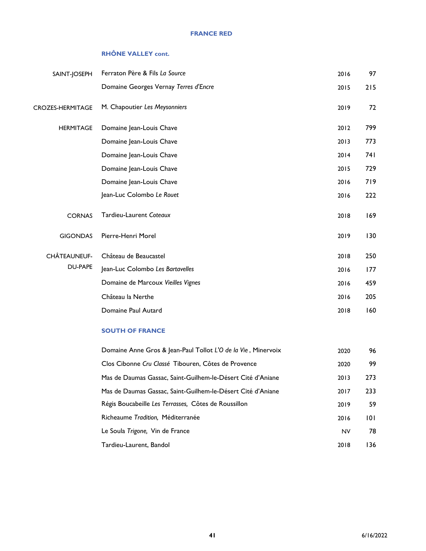#### **FRANCE RED**

#### **RHÔNE VALLEY cont.**

| SAINT-JOSEPH            | Ferraton Père & Fils La Source        | 2016 | 97   |
|-------------------------|---------------------------------------|------|------|
|                         | Domaine Georges Vernay Terres d'Encre | 2015 | 215  |
| <b>CROZES-HERMITAGE</b> | M. Chapoutier Les Meysonniers         | 2019 | 72   |
| <b>HERMITAGE</b>        | Domaine Jean-Louis Chave              | 2012 | 799  |
|                         | Domaine Jean-Louis Chave              | 2013 | 773  |
|                         | Domaine Jean-Louis Chave              | 2014 | 74 I |
|                         | Domaine Jean-Louis Chave              | 2015 | 729  |
|                         | Domaine Jean-Louis Chave              | 2016 | 719  |
|                         | Jean-Luc Colombo Le Rouet             | 2016 | 222  |
| <b>CORNAS</b>           | Tardieu-Laurent Coteaux               | 2018 | 169  |
| <b>GIGONDAS</b>         | Pierre-Henri Morel                    | 2019 | 130  |
| CHÂTEAUNEUF-            | Château de Beaucastel                 | 2018 | 250  |
| <b>DU-PAPE</b>          | Jean-Luc Colombo Les Bartavelles      | 2016 | 177  |
|                         | Domaine de Marcoux Vieilles Vignes    | 2016 | 459  |
|                         | Château la Nerthe                     | 2016 | 205  |
|                         | Domaine Paul Autard                   | 2018 | 160  |

#### **SOUTH OF FRANCE**

| Domaine Anne Gros & Jean-Paul Tollot L'O de la Vie, Minervoix | 2020      | 96  |
|---------------------------------------------------------------|-----------|-----|
| Clos Cibonne Cru Classé Tibouren, Côtes de Provence           | 2020      | 99  |
| Mas de Daumas Gassac, Saint-Guilhem-le-Désert Cité d'Aniane   | 2013      | 273 |
| Mas de Daumas Gassac, Saint-Guilhem-le-Désert Cité d'Aniane   | 2017      | 233 |
| Régis Boucabeille Les Terrasses, Côtes de Roussillon          | 2019      | 59  |
| Richeaume Tradition, Méditerranée                             | 2016      | 101 |
| Le Soula Trigone, Vin de France                               | <b>NV</b> | 78  |
| Tardieu-Laurent, Bandol                                       | 2018      | 136 |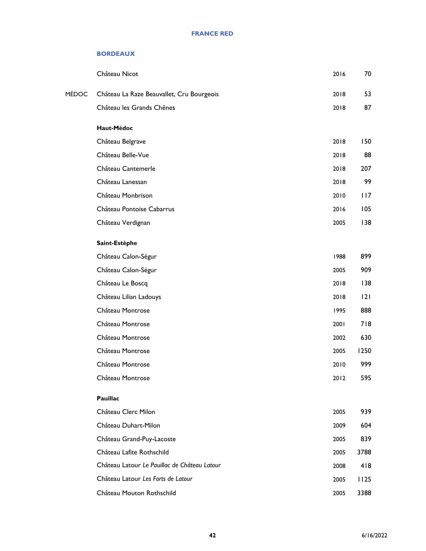#### **BORDEAUX**

|       | Château Nicot                                | 2016 | 70   |
|-------|----------------------------------------------|------|------|
| MÉDOC | Château La Raze Beauvallet, Cru Bourgeois    | 2018 | 53   |
|       | Château les Grands Chênes                    | 2018 | 87   |
|       | Haut-Médoc                                   |      |      |
|       | Château Belgrave                             | 2018 | 150  |
|       | Château Belle-Vue                            | 2018 | 88   |
|       | Château Cantemerle                           | 2018 | 207  |
|       | Château Lanessan                             | 2018 | 99   |
|       | Château Monbrison                            | 2010 | 117  |
|       | Château Pontoise Cabarrus                    | 2016 | 105  |
|       | Château Verdignan                            | 2005 | 138  |
|       | Saint-Estèphe                                |      |      |
|       | Château Calon-Ségur                          | 1988 | 899  |
|       | Château Calon-Ségur                          | 2005 | 909  |
|       | Château Le Boscq                             | 2018 | 138  |
|       | Château Lilian Ladouys                       | 2018 | 2    |
|       | Château Montrose                             | 1995 | 888  |
|       | Château Montrose                             | 2001 | 718  |
|       | Château Montrose                             | 2002 | 630  |
|       | Château Montrose                             | 2005 | 1250 |
|       | Château Montrose                             | 2010 | 999  |
|       | Château Montrose                             | 2012 | 595  |
|       | Pauillac                                     |      |      |
|       | Château Clerc Milon                          | 2005 | 939  |
|       | Château Duhart-Milon                         | 2009 | 604  |
|       | Château Grand-Puy-Lacoste                    | 2005 | 839  |
|       | Château Lafite Rothschild                    | 2005 | 3788 |
|       | Château Latour Le Pauillac de Château Latour | 2008 | 418  |
|       | Château Latour Les Forts de Latour           | 2005 | 1125 |
|       | Château Mouton Rothschild                    | 2005 | 3388 |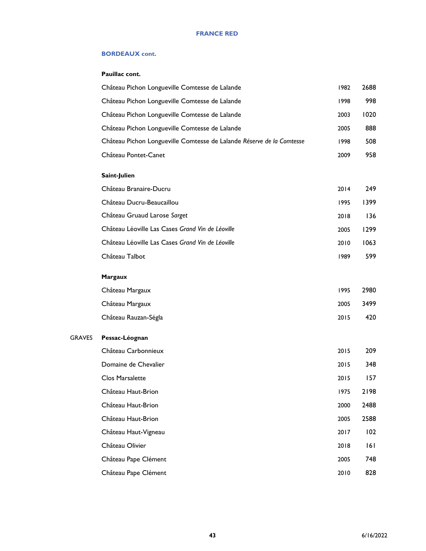#### **BORDEAUX cont.**

#### **Pauillac cont.**

GRAVES

| Château Pichon Longueville Comtesse de Lalande                        | 1982 | 2688 |
|-----------------------------------------------------------------------|------|------|
| Château Pichon Longueville Comtesse de Lalande                        | 1998 | 998  |
| Château Pichon Longueville Comtesse de Lalande                        | 2003 | 1020 |
| Château Pichon Longueville Comtesse de Lalande                        | 2005 | 888  |
| Château Pichon Longueville Comtesse de Lalande Réserve de la Comtesse | 1998 | 508  |
| Château Pontet-Canet                                                  | 2009 | 958  |
| Saint-Julien                                                          |      |      |
| Château Branaire-Ducru                                                | 2014 | 249  |
| Château Ducru-Beaucaillou                                             | 1995 | 1399 |
| Château Gruaud Larose Sarget                                          | 2018 | 136  |
| Château Léoville Las Cases Grand Vin de Léoville                      | 2005 | 1299 |
| Château Léoville Las Cases Grand Vin de Léoville                      | 2010 | 1063 |
| Château Talbot                                                        | 1989 | 599  |
| <b>Margaux</b>                                                        |      |      |
| Château Margaux                                                       | 1995 | 2980 |
| Château Margaux                                                       | 2005 | 3499 |
| Château Rauzan-Ségla                                                  | 2015 | 420  |
| Pessac-Léognan                                                        |      |      |
| Château Carbonnieux                                                   | 2015 | 209  |
| Domaine de Chevalier                                                  | 2015 | 348  |
| Clos Marsalette                                                       | 2015 | 157  |
| Château Haut-Brion                                                    | 1975 | 2198 |
| Château Haut-Brion                                                    | 2000 | 2488 |
| Château Haut-Brion                                                    | 2005 | 2588 |
| Château Haut-Vigneau                                                  | 2017 | 102  |
| Château Olivier                                                       | 2018 | 6    |
| Château Pape Clément                                                  | 2005 | 748  |
| Château Pape Clément                                                  | 2010 | 828  |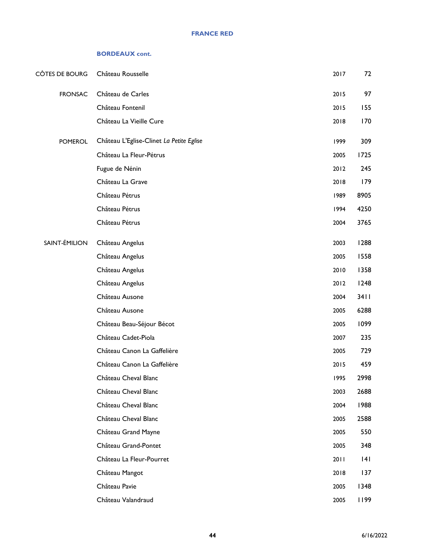#### **BORDEAUX cont.**

| CÔTES DE BOURG | Château Rousselle                        | 2017 | 72   |
|----------------|------------------------------------------|------|------|
| <b>FRONSAC</b> | Château de Carles                        | 2015 | 97   |
|                | Château Fontenil                         | 2015 | 155  |
|                | Château La Vieille Cure                  | 2018 | 170  |
| <b>POMEROL</b> | Château L'Eglise-Clinet La Petite Eglise | 1999 | 309  |
|                | Château La Fleur-Pétrus                  | 2005 | 1725 |
|                | Fugue de Nénin                           | 2012 | 245  |
|                | Château La Grave                         | 2018 | 179  |
|                | Château Pétrus                           | 1989 | 8905 |
|                | Château Pétrus                           | 1994 | 4250 |
|                | Château Pétrus                           | 2004 | 3765 |
| SAINT-ÉMILION  | Château Angelus                          | 2003 | 1288 |
|                | Château Angelus                          | 2005 | 1558 |
|                | Château Angelus                          | 2010 | 1358 |
|                | Château Angelus                          | 2012 | 1248 |
|                | Château Ausone                           | 2004 | 3411 |
|                | Château Ausone                           | 2005 | 6288 |
|                | Château Beau-Séjour Bécot                | 2005 | 1099 |
|                | Château Cadet-Piola                      | 2007 | 235  |
|                | Château Canon La Gaffelière              | 2005 | 729  |
|                | Château Canon La Gaffelière              | 2015 | 459  |
|                | Château Cheval Blanc                     | 1995 | 2998 |
|                | Château Cheval Blanc                     | 2003 | 2688 |
|                | Château Cheval Blanc                     | 2004 | 1988 |
|                | Château Cheval Blanc                     | 2005 | 2588 |
|                | Château Grand Mayne                      | 2005 | 550  |
|                | Château Grand-Pontet                     | 2005 | 348  |
|                | Château La Fleur-Pourret                 | 2011 | 4    |
|                | Château Mangot                           | 2018 | 137  |
|                | Château Pavie                            | 2005 | 1348 |
|                | Château Valandraud                       | 2005 | 1199 |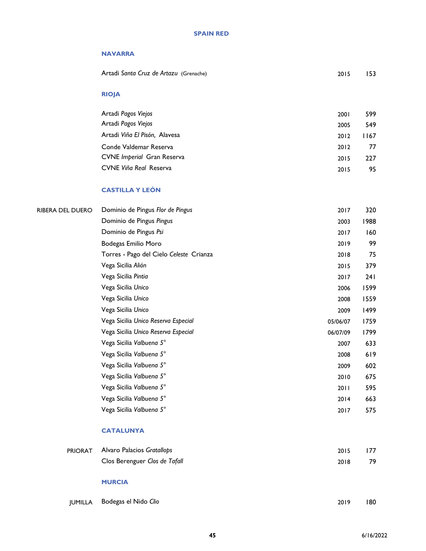#### **SPAIN RED**

#### **NAVARRA**

Artadi *Santa Cruz de Artazu* (Grenache) 2015 153

#### **RIOJA**

| Artadi Pagos Viejos               | 2001 | 599  |
|-----------------------------------|------|------|
| Artadi Pagos Viejos               | 2005 | 549  |
| Artadi Viña El Pisón, Alavesa     | 2012 | 1167 |
| Conde Valdemar Reserva            | 2012 | 77   |
| <b>CVNE</b> Imperial Gran Reserva | 2015 | 227  |
| CVNE Viña Real Reserva            | 2015 | 95.  |

#### **CASTILLA Y LEÓN**

| <b>RIBERA DEL DUERO</b> |
|-------------------------|
|-------------------------|

| Dominio de Pingus Flor de Pingus        | 2017     | 320  |
|-----------------------------------------|----------|------|
| Dominio de Pingus Pingus                | 2003     | 1988 |
| Dominio de Pingus Psi                   | 2017     | 160  |
| Bodegas Emilio Moro                     | 2019     | 99   |
| Torres - Pago del Cielo Celeste Crianza | 2018     | 75   |
| Vega Sicilia Alión                      | 2015     | 379  |
| Vega Sicilia Pintia                     | 2017     | 24 I |
| Vega Sicilia Unico                      | 2006     | 1599 |
| Vega Sicilia Unico                      | 2008     | 1559 |
| Vega Sicilia Unico                      | 2009     | 1499 |
| Vega Sicilia Unico Reserva Especial     | 05/06/07 | 1759 |
| Vega Sicilia Unico Reserva Especial     | 06/07/09 | 1799 |
| Vega Sicilia Valbuena 5°                | 2007     | 633  |
| Vega Sicilia Valbuena 5°                | 2008     | 619  |
| Vega Sicilia Valbuena 5°                | 2009     | 602  |
| Vega Sicilia Valbuena 5°                | 2010     | 675  |
| Vega Sicilia Valbuena 5°                | 2011     | 595  |
| Vega Sicilia Valbuena 5°                | 2014     | 663  |
| Vega Sicilia Valbuena 5°                | 2017     | 575  |

#### **CATALUNYA**

| <b>PRIORAT</b> Alvaro Palacios Gratallops | 2015 | 177 |
|-------------------------------------------|------|-----|
| Clos Berenguer Clos de Tafall             | 2018 | -79 |
|                                           |      |     |

#### **MURCIA**

|  | JUMILLA Bodegas el Nido Clio | 2019 | 180 |
|--|------------------------------|------|-----|
|--|------------------------------|------|-----|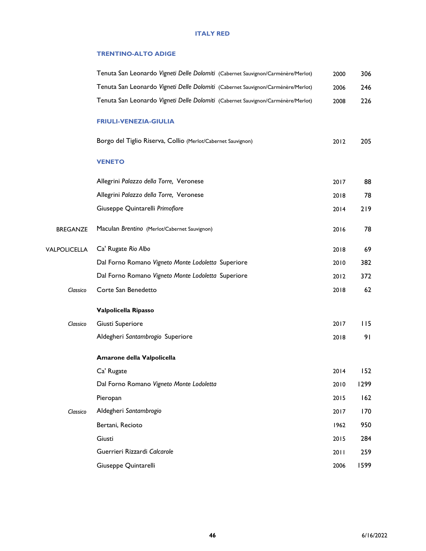#### **TRENTINO-ALTO ADIGE**

|                     | Tenuta San Leonardo Vigneti Delle Dolomiti (Cabernet Sauvignon/Carménère/Merlot) | 2000 | 306  |
|---------------------|----------------------------------------------------------------------------------|------|------|
|                     | Tenuta San Leonardo Vigneti Delle Dolomiti (Cabernet Sauvignon/Carménère/Merlot) | 2006 | 246  |
|                     | Tenuta San Leonardo Vigneti Delle Dolomiti (Cabernet Sauvignon/Carménère/Merlot) | 2008 | 226  |
|                     | <b>FRIULI-VENEZIA-GIULIA</b>                                                     |      |      |
|                     | Borgo del Tiglio Riserva, Collio (Merlot/Cabernet Sauvignon)                     | 2012 | 205  |
|                     | <b>VENETO</b>                                                                    |      |      |
|                     | Allegrini Palazzo della Torre, Veronese                                          | 2017 | 88   |
|                     | Allegrini Palazzo della Torre, Veronese                                          | 2018 | 78   |
|                     | Giuseppe Quintarelli Primofiore                                                  | 2014 | 219  |
| <b>BREGANZE</b>     | Maculan Brentino (Merlot/Cabernet Sauvignon)                                     | 2016 | 78   |
| <b>VALPOLICELLA</b> | Ca' Rugate Rio Albo                                                              | 2018 | 69   |
|                     | Dal Forno Romano Vigneto Monte Lodoletta Superiore                               | 2010 | 382  |
|                     | Dal Forno Romano Vigneto Monte Lodoletta Superiore                               | 2012 | 372  |
| Classico            | Corte San Benedetto                                                              | 2018 | 62   |
|                     | Valpolicella Ripasso                                                             |      |      |
| Classico            | Giusti Superiore                                                                 | 2017 | 115  |
|                     | Aldegheri Santambrogio Superiore                                                 | 2018 | 91   |
|                     | Amarone della Valpolicella                                                       |      |      |
|                     | Ca' Rugate                                                                       | 2014 | 152  |
|                     | Dal Forno Romano Vigneto Monte Lodoletta                                         | 2010 | 1299 |
|                     | Pieropan                                                                         | 2015 | 162  |
| Classico            | Aldegheri Santambrogio                                                           | 2017 | 170  |
|                     | Bertani, Recioto                                                                 | 1962 | 950  |
|                     | Giusti                                                                           | 2015 | 284  |
|                     | Guerrieri Rizzardi Calcarole                                                     | 2011 | 259  |
|                     | Giuseppe Quintarelli                                                             | 2006 | 1599 |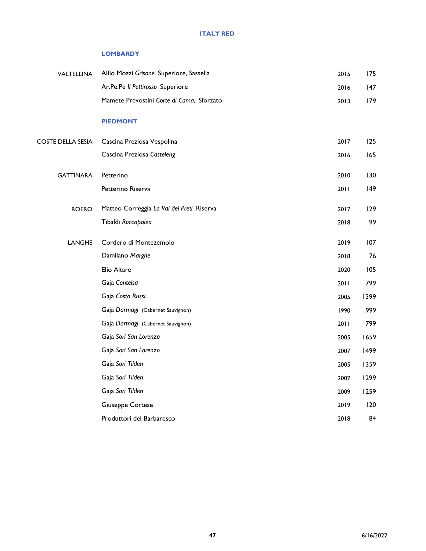#### **LOMBARDY**

| VALTELLINA        | Alfio Mozzi Grisone Superiore, Sassella   | 2015 | 175  |
|-------------------|-------------------------------------------|------|------|
|                   | Ar.Pe.Pe II Pettirosso Superiore          | 2016 | 147  |
|                   | Mamete Prevostini Corte di Cama, Sforzato | 2013 | 179  |
|                   | <b>PIEDMONT</b>                           |      |      |
| COSTE DELLA SESIA | Cascina Preziosa Vespolina                | 2017 | 125  |
|                   | Cascina Preziosa Casteleng                | 2016 | 165  |
| <b>GATTINARA</b>  | Petterino                                 | 2010 | 130  |
|                   | Petterino Riserva                         | 2011 | 149  |
| <b>ROERO</b>      | Matteo Correggia La Val dei Preti Riserva | 2017 | 129  |
|                   | Tibaldi Roccapalea                        | 2018 | 99   |
| LANGHE            | Cordero di Montezemolo                    | 2019 | 107  |
|                   | Damilano Marghe                           | 2018 | 76   |
|                   | Elio Altare                               | 2020 | 105  |
|                   | Gaja Conteisa                             | 2011 | 799  |
|                   | Gaja Costa Russi                          | 2005 | 1399 |
|                   | Gaja Darmagi (Cabernet Sauvignon)         | 1990 | 999  |
|                   | Gaja Darmagi (Cabernet Sauvignon)         | 2011 | 799  |
|                   | Gaja Sori San Lorenzo                     | 2005 | 1659 |
|                   | Gaja Sori San Lorenzo                     | 2007 | 1499 |
|                   | Gaja Sori Tilden                          | 2005 | 1359 |
|                   | Gaja Sori Tilden                          | 2007 | 1299 |
|                   | Gaja Sori Tilden                          | 2009 | 1259 |
|                   | <b>Giuseppe Cortese</b>                   | 2019 | 120  |
|                   | Produttori del Barbaresco                 | 2018 | 84   |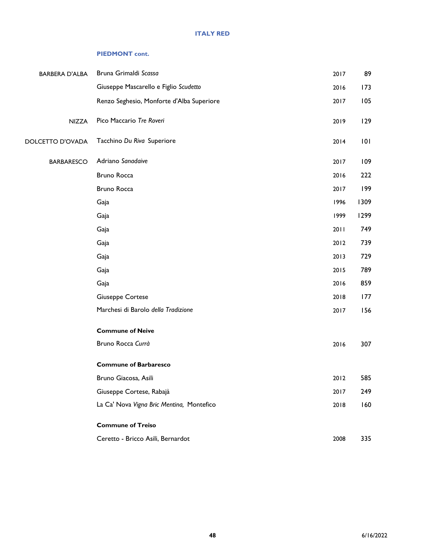#### **PIEDMONT cont.**

| <b>BARBERA D'ALBA</b> | Bruna Grimaldi Scassa                     | 2017 | 89   |
|-----------------------|-------------------------------------------|------|------|
|                       | Giuseppe Mascarello e Figlio Scudetto     | 2016 | 173  |
|                       | Renzo Seghesio, Monforte d'Alba Superiore | 2017 | 105  |
| <b>NIZZA</b>          | Pico Maccario Tre Roveri                  | 2019 | 129  |
| DOLCETTO D'OVADA      | Tacchino Du Riva Superiore                | 2014 | 101  |
| <b>BARBARESCO</b>     | Adriano Sanadaive                         | 2017 | 109  |
|                       | Bruno Rocca                               | 2016 | 222  |
|                       | Bruno Rocca                               | 2017 | 199  |
|                       | Gaja                                      | 1996 | 1309 |
|                       | Gaja                                      | 1999 | 1299 |
|                       | Gaja                                      | 2011 | 749  |
|                       | Gaja                                      | 2012 | 739  |
|                       | Gaja                                      | 2013 | 729  |
|                       | Gaja                                      | 2015 | 789  |
|                       | Gaja                                      | 2016 | 859  |
|                       | <b>Giuseppe Cortese</b>                   | 2018 | 177  |
|                       | Marchesi di Barolo della Tradizione       | 2017 | 156  |
|                       | <b>Commune of Neive</b>                   |      |      |
|                       | Bruno Rocca Currà                         | 2016 | 307  |
|                       | <b>Commune of Barbaresco</b>              |      |      |
|                       | Bruno Giacosa, Asili                      | 2012 | 585  |
|                       | Giuseppe Cortese, Rabajà                  | 2017 | 249  |
|                       | La Ca' Nova Vigna Bric Mentina, Montefico | 2018 | 160  |
|                       | <b>Commune of Treiso</b>                  |      |      |
|                       | Ceretto - Bricco Asili, Bernardot         | 2008 | 335  |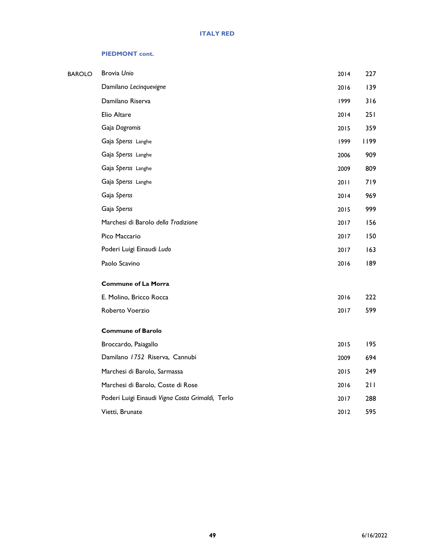#### **PIEDMONT cont.**

| <b>BAROLO</b> | Brovia Unio                                      | 2014 | 227  |
|---------------|--------------------------------------------------|------|------|
|               | Damilano Lecinquevigne                           | 2016 | 139  |
|               | Damilano Riserva                                 | 1999 | 316  |
|               | Elio Altare                                      | 2014 | 251  |
|               | Gaja Dagromis                                    | 2015 | 359  |
|               | Gaja Sperss Langhe                               | 1999 | 1199 |
|               | Gaja Sperss Langhe                               | 2006 | 909  |
|               | Gaja Sperss Langhe                               | 2009 | 809  |
|               | Gaja Sperss Langhe                               | 2011 | 719  |
|               | Gaja Sperss                                      | 2014 | 969  |
|               | Gaja Sperss                                      | 2015 | 999  |
|               | Marchesi di Barolo della Tradizione              | 2017 | 156  |
|               | Pico Maccario                                    | 2017 | 150  |
|               | Poderi Luigi Einaudi Ludo                        | 2017 | 163  |
|               | Paolo Scavino                                    | 2016 | 189  |
|               | <b>Commune of La Morra</b>                       |      |      |
|               | E. Molino, Bricco Rocca                          | 2016 | 222  |
|               | Roberto Voerzio                                  | 2017 | 599  |
|               | <b>Commune of Barolo</b>                         |      |      |
|               | Broccardo, Paiagallo                             | 2015 | 195  |
|               | Damilano 1752 Riserva, Cannubi                   | 2009 | 694  |
|               | Marchesi di Barolo, Sarmassa                     | 2015 | 249  |
|               | Marchesi di Barolo, Coste di Rose                | 2016 | 211  |
|               | Poderi Luigi Einaudi Vigna Costa Grimaldi, Terlo | 2017 | 288  |
|               | Vietti, Brunate                                  | 2012 | 595  |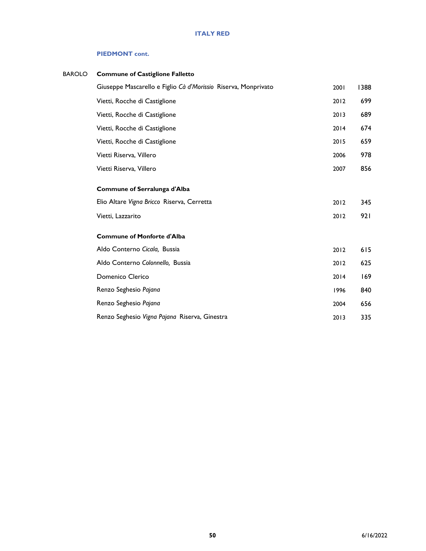#### **PIEDMONT cont.**

| BAROLO | <b>Commune of Castiglione Falletto</b>                         |      |      |
|--------|----------------------------------------------------------------|------|------|
|        | Giuseppe Mascarello e Figlio Cà d'Morissio Riserva, Monprivato | 2001 | 1388 |
|        | Vietti, Rocche di Castiglione                                  | 2012 | 699  |
|        | Vietti, Rocche di Castiglione                                  | 2013 | 689  |
|        | Vietti, Rocche di Castiglione                                  | 2014 | 674  |
|        | Vietti, Rocche di Castiglione                                  | 2015 | 659  |
|        | Vietti Riserva, Villero                                        | 2006 | 978  |
|        | Vietti Riserva, Villero                                        | 2007 | 856  |
|        | Commune of Serralunga d'Alba                                   |      |      |
|        | Elio Altare Vigna Bricco Riserva, Cerretta                     | 2012 | 345  |
|        | Vietti, Lazzarito                                              | 2012 | 921  |
|        | <b>Commune of Monforte d'Alba</b>                              |      |      |
|        | Aldo Conterno Cicala, Bussia                                   | 2012 | 615  |
|        | Aldo Conterno Colonnello, Bussia                               | 2012 | 625  |
|        | Domenico Clerico                                               | 2014 | 169  |
|        | Renzo Seghesio Pajana                                          | 1996 | 840  |
|        | Renzo Seghesio Pajana                                          | 2004 | 656  |
|        | Renzo Seghesio Vigna Pajana Riserva, Ginestra                  | 2013 | 335  |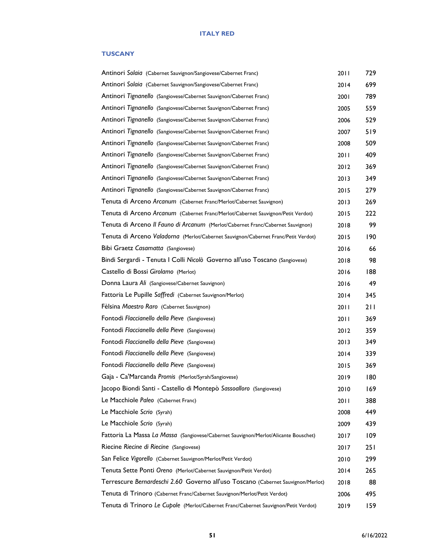#### **TUSCANY**

| Antinori Solaia (Cabernet Sauvignon/Sangiovese/Cabernet Franc)                      | 2011 | 729 |
|-------------------------------------------------------------------------------------|------|-----|
| Antinori Solaia (Cabernet Sauvignon/Sangiovese/Cabernet Franc)                      | 2014 | 699 |
| Antinori Tignanello (Sangiovese/Cabernet Sauvignon/Cabernet Franc)                  | 2001 | 789 |
| Antinori Tignanello (Sangiovese/Cabernet Sauvignon/Cabernet Franc)                  | 2005 | 559 |
| Antinori Tignanello (Sangiovese/Cabernet Sauvignon/Cabernet Franc)                  | 2006 | 529 |
| Antinori Tignanello (Sangiovese/Cabernet Sauvignon/Cabernet Franc)                  | 2007 | 519 |
| Antinori Tignanello (Sangiovese/Cabernet Sauvignon/Cabernet Franc)                  | 2008 | 509 |
| Antinori Tignanello (Sangiovese/Cabernet Sauvignon/Cabernet Franc)                  | 2011 | 409 |
| Antinori Tignanello (Sangiovese/Cabernet Sauvignon/Cabernet Franc)                  | 2012 | 369 |
| Antinori Tignanello (Sangiovese/Cabernet Sauvignon/Cabernet Franc)                  | 2013 | 349 |
| Antinori Tignanello (Sangiovese/Cabernet Sauvignon/Cabernet Franc)                  | 2015 | 279 |
| Tenuta di Arceno Arcanum (Cabernet Franc/Merlot/Cabernet Sauvignon)                 | 2013 | 269 |
| Tenuta di Arceno Arcanum (Cabernet Franc/Merlot/Cabernet Sauvignon/Petit Verdot)    | 2015 | 222 |
| Tenuta di Arceno Il Fauno di Arcanum (Merlot/Cabernet Franc/Cabernet Sauvignon)     | 2018 | 99  |
| Tenuta di Arceno Valadorna (Merlot/Cabernet Sauvignon/Cabernet Franc/Petit Verdot)  | 2015 | 190 |
| Bibi Graetz Casamatta (Sangiovese)                                                  | 2016 | 66  |
| Bindi Sergardi - Tenuta I Colli Nicolò Governo all'uso Toscano (Sangiovese)         | 2018 | 98  |
| Castello di Bossi Girolamo (Merlot)                                                 | 2016 | 188 |
| Donna Laura Ali (Sangiovese/Cabernet Sauvignon)                                     | 2016 | 49  |
| Fattoria Le Pupille Saffredi (Cabernet Sauvignon/Merlot)                            | 2014 | 345 |
| Fèlsina Maestro Raro (Cabernet Sauvignon)                                           | 2011 | 211 |
| Fontodi Flaccianello della Pieve (Sangiovese)                                       | 2011 | 369 |
| Fontodi Flaccianello della Pieve (Sangiovese)                                       | 2012 | 359 |
| Fontodi Flaccianello della Pieve (Sangiovese)                                       | 2013 | 349 |
| Fontodi Flaccianello della Pieve (Sangiovese)                                       | 2014 | 339 |
| Fontodi Flaccianello della Pieve (Sangiovese)                                       | 2015 | 369 |
| Gaja - Ca'Marcanda Promis (Merlot/Syrah/Sangiovese)                                 | 2019 | 180 |
| Jacopo Biondi Santi - Castello di Montepò Sassoalloro (Sangiovese)                  | 2010 | 169 |
| Le Macchiole Paleo (Cabernet Franc)                                                 | 2011 | 388 |
| Le Macchiole Scrio (Syrah)                                                          | 2008 | 449 |
| Le Macchiole Scrio (Syrah)                                                          | 2009 | 439 |
| Fattoria La Massa La Massa (Sangiovese/Cabernet Sauvignon/Merlot/Alicante Bouschet) | 2017 | 109 |
| Riecine Riecine di Riecine (Sangiovese)                                             | 2017 | 251 |
| San Felice Vigorello (Cabernet Sauvignon/Merlot/Petit Verdot)                       | 2010 | 299 |
| Tenuta Sette Ponti Oreno (Merlot/Cabernet Sauvignon/Petit Verdot)                   | 2014 | 265 |
| Terrescure Bernardeschi 2.60 Governo all'uso Toscano (Cabernet Sauvignon/Merlot)    | 2018 | 88  |
| Tenuta di Trinoro (Cabernet Franc/Cabernet Sauvignon/Merlot/Petit Verdot)           | 2006 | 495 |
| Tenuta di Trinoro Le Cupole (Merlot/Cabernet Franc/Cabernet Sauvignon/Petit Verdot) | 2019 | 159 |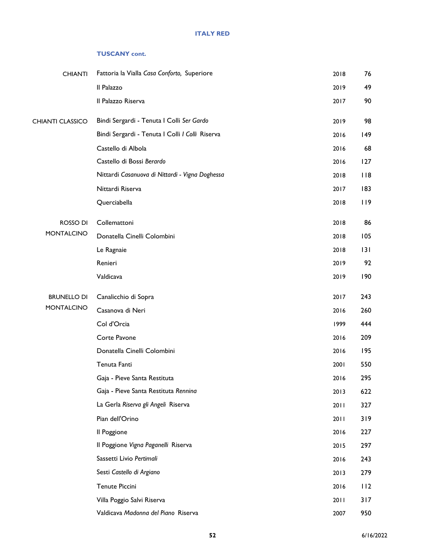#### **TUSCANY cont.**

| <b>CHIANTI</b>          | Fattoria la Vialla Casa Conforto, Superiore     | 2018 | 76  |
|-------------------------|-------------------------------------------------|------|-----|
|                         | Il Palazzo                                      | 2019 | 49  |
|                         | Il Palazzo Riserva                              | 2017 | 90  |
| <b>CHIANTI CLASSICO</b> | Bindi Sergardi - Tenuta I Colli Ser Gardo       | 2019 | 98  |
|                         | Bindi Sergardi - Tenuta I Colli I Colli Riserva | 2016 | 149 |
|                         | Castello di Albola                              | 2016 | 68  |
|                         | Castello di Bossi Berardo                       | 2016 | 127 |
|                         | Nittardi Casanuova di Nittardi - Vigna Doghessa | 2018 | 118 |
|                         | Nittardi Riserva                                | 2017 | 183 |
|                         | Querciabella                                    | 2018 | 119 |
| ROSSO DI                | Collemattoni                                    | 2018 | 86  |
| <b>MONTALCINO</b>       | Donatella Cinelli Colombini                     | 2018 | 105 |
|                         | Le Ragnaie                                      | 2018 | 131 |
|                         | Renieri                                         | 2019 | 92  |
|                         | Valdicava                                       | 2019 | 190 |
| <b>BRUNELLO DI</b>      | Canalicchio di Sopra                            | 2017 | 243 |
| <b>MONTALCINO</b>       | Casanova di Neri                                | 2016 | 260 |
|                         | Col d'Orcia                                     | 1999 | 444 |
|                         | Corte Pavone                                    | 2016 | 209 |
|                         | Donatella Cinelli Colombini                     | 2016 | 195 |
|                         | Tenuta Fanti                                    | 2001 | 550 |
|                         | Gaja - Pieve Santa Restituta                    | 2016 | 295 |
|                         | Gaja - Pieve Santa Restituta Rennina            | 2013 | 622 |
|                         | La Gerla Riserva gli Angeli Riserva             | 2011 | 327 |
|                         | Pian dell'Orino                                 | 2011 | 319 |
|                         | Il Poggione                                     | 2016 | 227 |
|                         | Il Poggione Vigna Paganelli Riserva             | 2015 | 297 |
|                         | Sassetti Livio Pertimali                        | 2016 | 243 |
|                         | Sesti Castello di Argiano                       | 2013 | 279 |
|                         | <b>Tenute Piccini</b>                           | 2016 | 112 |
|                         | Villa Poggio Salvi Riserva                      | 2011 | 317 |
|                         | Valdicava Madonna del Piano Riserva             | 2007 | 950 |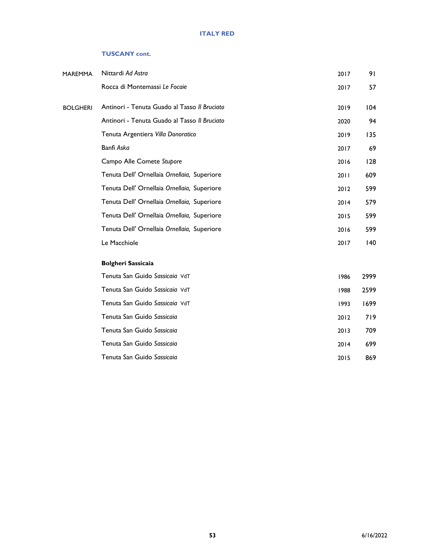#### **TUSCANY cont.**

| MAREMMA         | Nittardi Ad Astra                            | 2017 | 91           |
|-----------------|----------------------------------------------|------|--------------|
|                 | Rocca di Montemassi Le Focaie                | 2017 | 57           |
| <b>BOLGHERI</b> | Antinori - Tenuta Guado al Tasso II Bruciato | 2019 | 104          |
|                 | Antinori - Tenuta Guado al Tasso Il Bruciato | 2020 | 94           |
|                 | Tenuta Argentiera Villa Donoratico           | 2019 | 135          |
|                 | Banfi Aska                                   | 2017 | 69           |
|                 | Campo Alle Comete Stupore                    | 2016 | 128          |
|                 | Tenuta Dell' Ornellaia Ornellaia, Superiore  | 2011 | 609          |
|                 | Tenuta Dell' Ornellaia Ornellaia, Superiore  | 2012 | 599          |
|                 | Tenuta Dell' Ornellaia Ornellaia, Superiore  | 2014 | 579          |
|                 | Tenuta Dell' Ornellaia Ornellaia, Superiore  | 2015 | 599          |
|                 | Tenuta Dell' Ornellaia Ornellaia, Superiore  | 2016 | 599          |
|                 | Le Macchiole                                 | 2017 | $ 40\rangle$ |
|                 | <b>Bolgheri Sassicaia</b>                    |      |              |
|                 | Tenuta San Guido Sassicaia VdT               | 1986 | 2999         |
|                 | Tenuta San Guido Sassicaia VdT               | 1988 | 2599         |
|                 | Tenuta San Guido Sassicaia VdT               | 1993 | 1699         |
|                 | Tenuta San Guido Sassicaia                   | 2012 | 719          |
|                 | Tenuta San Guido Sassicaia                   | 2013 | 709          |
|                 | Tenuta San Guido Sassicaia                   | 2014 | 699          |
|                 | Tenuta San Guido Sassicaia                   | 2015 | 869          |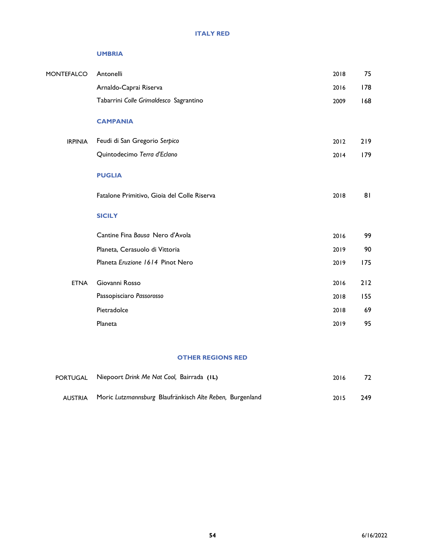#### **UMBRIA**

| <b>MONTEFALCO</b> | Antonelli                                   | 2018 | 75  |
|-------------------|---------------------------------------------|------|-----|
|                   | Arnaldo-Caprai Riserva                      | 2016 | 178 |
|                   | Tabarrini Colle Grimaldesco Sagrantino      | 2009 | 168 |
|                   | <b>CAMPANIA</b>                             |      |     |
| <b>IRPINIA</b>    | Feudi di San Gregorio Serpico               | 2012 | 219 |
|                   | Quintodecimo Terra d'Eclano                 | 2014 | 179 |
|                   | <b>PUGLIA</b>                               |      |     |
|                   | Fatalone Primitivo, Gioia del Colle Riserva | 2018 | 81  |
|                   | <b>SICILY</b>                               |      |     |
|                   | Cantine Fina Bausa Nero d'Avola             | 2016 | 99  |
|                   | Planeta, Cerasuolo di Vittoria              | 2019 | 90  |
|                   | Planeta Eruzione 1614 Pinot Nero            | 2019 | 175 |
| <b>ETNA</b>       | Giovanni Rosso                              | 2016 | 212 |
|                   | Passopisciaro Passorosso                    | 2018 | 155 |
|                   | Pietradolce                                 | 2018 | 69  |
|                   | Planeta                                     | 2019 | 95  |
|                   |                                             |      |     |

#### **OTHER REGIONS RED**

| PORTUGAL Niepoort Drink Me Nat Cool, Bairrada (IL)               | 2016 | 72  |
|------------------------------------------------------------------|------|-----|
| AUSTRIA Moric Lutzmannsburg Blaufränkisch Alte Reben, Burgenland | 2015 | 249 |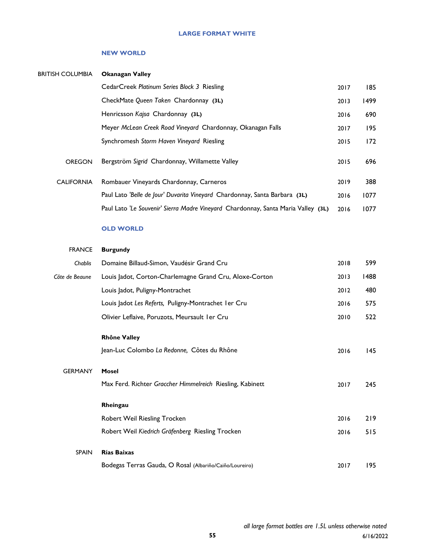#### **LARGE FORMAT WHITE**

#### **NEW WORLD**

| <b>BRITISH COLUMBIA</b> | <b>Okanagan Valley</b>                                                            |      |      |
|-------------------------|-----------------------------------------------------------------------------------|------|------|
|                         | CedarCreek Platinum Series Block 3 Riesling                                       | 2017 | 185  |
|                         | CheckMate Queen Taken Chardonnay (3L)                                             | 2013 | 1499 |
|                         | Henricsson Kajsa Chardonnay (3L)                                                  | 2016 | 690  |
|                         | Meyer McLean Creek Road Vineyard Chardonnay, Okanagan Falls                       | 2017 | 195  |
|                         | Synchromesh Storm Haven Vineyard Riesling                                         | 2015 | 172  |
| <b>OREGON</b>           | Bergström Sigrid Chardonnay, Willamette Valley                                    | 2015 | 696  |
| <b>CALIFORNIA</b>       | Rombauer Vineyards Chardonnay, Carneros                                           | 2019 | 388  |
|                         | Paul Lato 'Belle de Jour' Duvarita Vineyard Chardonnay, Santa Barbara (3L)        | 2016 | 1077 |
|                         | Paul Lato 'Le Souvenir' Sierra Madre Vineyard Chardonnay, Santa Maria Valley (3L) | 2016 | 1077 |
|                         |                                                                                   |      |      |

**OLD WORLD**

| <b>FRANCE</b>  | <b>Burgundy</b>                                           |      |      |
|----------------|-----------------------------------------------------------|------|------|
| Chablis        | Domaine Billaud-Simon, Vaudésir Grand Cru                 | 2018 | 599  |
| Côte de Beaune | Louis Jadot, Corton-Charlemagne Grand Cru, Aloxe-Corton   | 2013 | 1488 |
|                | Louis Jadot, Puligny-Montrachet                           | 2012 | 480  |
|                | Louis Jadot Les Referts, Puligny-Montrachet I er Cru      | 2016 | 575  |
|                | Olivier Leflaive, Poruzots, Meursault I er Cru            | 2010 | 522  |
|                | <b>Rhône Valley</b>                                       |      |      |
|                | Jean-Luc Colombo La Redonne, Côtes du Rhône               | 2016 | 145  |
| <b>GERMANY</b> | <b>Mosel</b>                                              |      |      |
|                | Max Ferd. Richter Graccher Himmelreich Riesling, Kabinett | 2017 | 245  |
|                | Rheingau                                                  |      |      |
|                | Robert Weil Riesling Trocken                              | 2016 | 219  |
|                | Robert Weil Kiedrich Gräfenberg Riesling Trocken          | 2016 | 515  |
| <b>SPAIN</b>   | Rías Baixas                                               |      |      |
|                | Bodegas Terras Gauda, O Rosal (Albariño/Caiño/Loureiro)   | 2017 | 195  |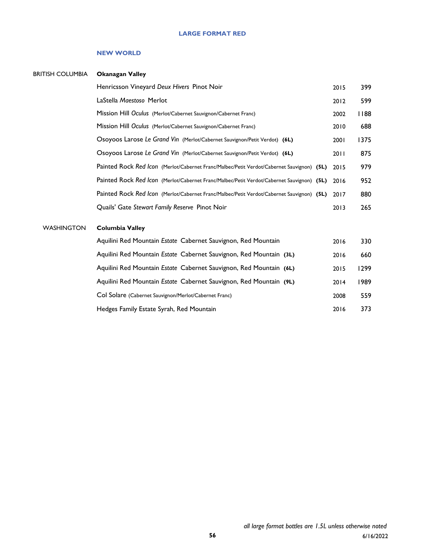#### **LARGE FORMAT RED**

#### **NEW WORLD**

| <b>BRITISH COLUMBIA</b> | <b>Okanagan Valley</b>                                                                    |      |      |
|-------------------------|-------------------------------------------------------------------------------------------|------|------|
|                         | Henricsson Vineyard Deux Hivers Pinot Noir                                                | 2015 | 399  |
|                         | LaStella Maestoso Merlot                                                                  | 2012 | 599  |
|                         | Mission Hill Oculus (Merlot/Cabernet Sauvignon/Cabernet Franc)                            | 2002 | 1188 |
|                         | Mission Hill Oculus (Merlot/Cabernet Sauvignon/Cabernet Franc)                            | 2010 | 688  |
|                         | Osoyoos Larose Le Grand Vin (Merlot/Cabernet Sauvignon/Petit Verdot) (6L)                 | 2001 | 1375 |
|                         | Osoyoos Larose Le Grand Vin (Merlot/Cabernet Sauvignon/Petit Verdot) (6L)                 | 2011 | 875  |
|                         | Painted Rock Red Icon (Merlot/Cabernet Franc/Malbec/Petit Verdot/Cabernet Sauvignon) (5L) | 2015 | 979  |
|                         | Painted Rock Red Icon (Merlot/Cabernet Franc/Malbec/Petit Verdot/Cabernet Sauvignon) (5L) | 2016 | 952  |
|                         | Painted Rock Red Icon (Merlot/Cabernet Franc/Malbec/Petit Verdot/Cabernet Sauvignon) (5L) | 2017 | 880  |
|                         | Quails' Gate Stewart Family Reserve Pinot Noir                                            | 2013 | 265  |
| <b>WASHINGTON</b>       | <b>Columbia Valley</b>                                                                    |      |      |
|                         | Aquilini Red Mountain Estate Cabernet Sauvignon, Red Mountain                             | 2016 | 330  |
|                         | Aquilini Red Mountain Estate Cabernet Sauvignon, Red Mountain (3L)                        | 2016 | 660  |
|                         | Aquilini Red Mountain Estate Cabernet Sauvignon, Red Mountain (6L)                        | 2015 | 1299 |
|                         | Aquilini Red Mountain Estate Cabernet Sauvignon, Red Mountain (9L)                        | 2014 | 1989 |
|                         | Col Solare (Cabernet Sauvignon/Merlot/Cabernet Franc)                                     | 2008 | 559  |
|                         | Hedges Family Estate Syrah, Red Mountain                                                  | 2016 | 373  |
|                         |                                                                                           |      |      |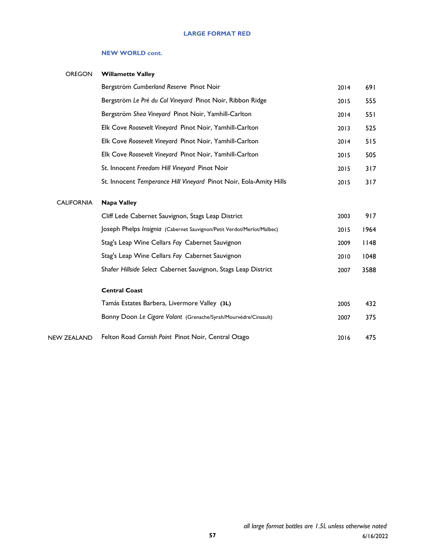#### **NEW WORLD cont.**

| <b>OREGON</b>     | <b>Willamette Valley</b>                                               |      |      |
|-------------------|------------------------------------------------------------------------|------|------|
|                   | Bergström Cumberland Reserve Pinot Noir                                | 2014 | 691  |
|                   | Bergström Le Pré du Col Vineyard Pinot Noir, Ribbon Ridge              | 2015 | 555  |
|                   | Bergström Shea Vineyard Pinot Noir, Yamhill-Carlton                    | 2014 | 551  |
|                   | Elk Cove Roosevelt Vineyard Pinot Noir, Yamhill-Carlton                | 2013 | 525  |
|                   | Elk Cove Roosevelt Vineyard Pinot Noir, Yamhill-Carlton                | 2014 | 515  |
|                   | Elk Cove Roosevelt Vineyard Pinot Noir, Yamhill-Carlton                | 2015 | 505  |
|                   | St. Innocent Freedom Hill Vineyard Pinot Noir                          | 2015 | 317  |
|                   | St. Innocent Temperance Hill Vineyard Pinot Noir, Eola-Amity Hills     | 2015 | 317  |
| <b>CALIFORNIA</b> | <b>Napa Valley</b>                                                     |      |      |
|                   | Cliff Lede Cabernet Sauvignon, Stags Leap District                     | 2003 | 917  |
|                   | Joseph Phelps Insignia (Cabernet Sauvignon/Petit Verdot/Merlot/Malbec) | 2015 | 1964 |
|                   | Stag's Leap Wine Cellars Fay Cabernet Sauvignon                        | 2009 | 148  |
|                   | Stag's Leap Wine Cellars Fay Cabernet Sauvignon                        | 2010 | 1048 |
|                   | Shafer Hillside Select Cabernet Sauvignon, Stags Leap District         | 2007 | 3588 |
|                   | <b>Central Coast</b>                                                   |      |      |
|                   | Tamás Estates Barbera, Livermore Valley (3L)                           | 2005 | 432  |
|                   | Bonny Doon Le Cigare Volant (Grenache/Syrah/Mourvèdre/Cinsault)        | 2007 | 375  |
| NEW ZEALAND       | Felton Road Cornish Point Pinot Noir, Central Otago                    | 2016 | 475  |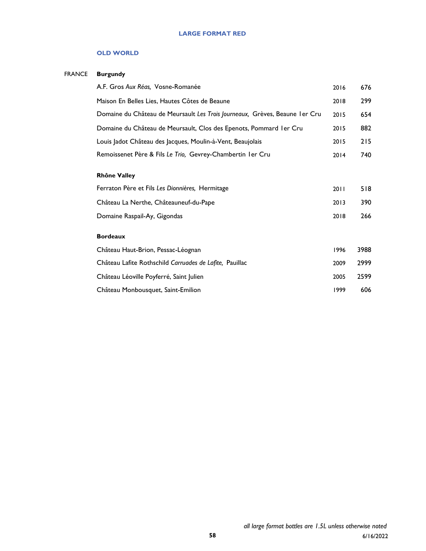#### **LARGE FORMAT RED**

#### **OLD WORLD**

#### FRANCE **Burgundy**

| A.F. Gros Aux Réas, Vosne-Romanée                                            | 2016 | 676  |
|------------------------------------------------------------------------------|------|------|
| Maison En Belles Lies, Hautes Côtes de Beaune                                | 2018 | 299  |
| Domaine du Château de Meursault Les Trois Journeaux, Grèves, Beaune I er Cru | 2015 | 654  |
| Domaine du Château de Meursault, Clos des Epenots, Pommard Ier Cru           | 2015 | 882  |
| Louis Jadot Château des Jacques, Moulin-à-Vent, Beaujolais                   | 2015 | 215  |
| Remoissenet Père & Fils Le Trio, Gevrey-Chambertin I er Cru                  | 2014 | 740  |
| <b>Rhône Valley</b>                                                          |      |      |
| Ferraton Père et Fils Les Dionnières, Hermitage                              | 2011 | 518  |
| Château La Nerthe, Châteauneuf-du-Pape                                       | 2013 | 390  |
| Domaine Raspail-Ay, Gigondas                                                 | 2018 | 266  |
| <b>Bordeaux</b>                                                              |      |      |
| Château Haut-Brion, Pessac-Léognan                                           | 1996 | 3988 |
| Château Lafite Rothschild Carruades de Lafite, Pauillac                      | 2009 | 2999 |
| Château Léoville Poyferré, Saint Julien                                      | 2005 | 2599 |
| Château Monbousquet, Saint-Emilion                                           | 1999 | 606  |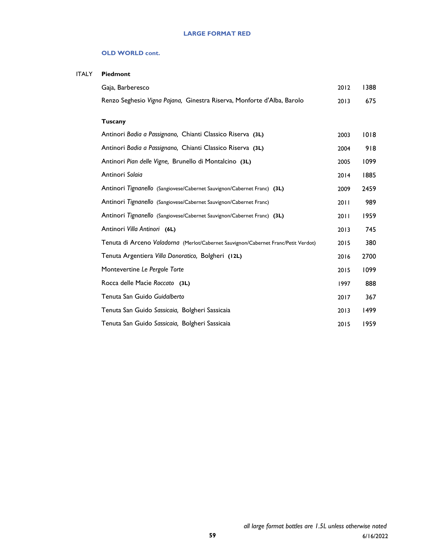#### **OLD WORLD cont.**

| ITALY | Piedmont                                                                           |      |      |
|-------|------------------------------------------------------------------------------------|------|------|
|       | Gaja, Barberesco                                                                   | 2012 | 1388 |
|       | Renzo Seghesio Vigna Pajana, Ginestra Riserva, Monforte d'Alba, Barolo             | 2013 | 675  |
|       | <b>Tuscany</b>                                                                     |      |      |
|       | Antinori Badia a Passignano, Chianti Classico Riserva (3L)                         | 2003 | 1018 |
|       | Antinori Badia a Passignano, Chianti Classico Riserva (3L)                         | 2004 | 918  |
|       | Antinori Pian delle Vigne, Brunello di Montalcino (3L)                             | 2005 | 1099 |
|       | Antinori Solaia                                                                    | 2014 | 1885 |
|       | Antinori Tignanello (Sangiovese/Cabernet Sauvignon/Cabernet Franc) (3L)            | 2009 | 2459 |
|       | Antinori Tignanello (Sangiovese/Cabernet Sauvignon/Cabernet Franc)                 | 2011 | 989  |
|       | Antinori Tignanello (Sangiovese/Cabernet Sauvignon/Cabernet Franc) (3L)            | 2011 | 1959 |
|       | Antinori Villa Antinori (6L)                                                       | 2013 | 745  |
|       | Tenuta di Arceno Valadorna (Merlot/Cabernet Sauvignon/Cabernet Franc/Petit Verdot) | 2015 | 380  |
|       | Tenuta Argentiera Villa Donoratico, Bolgheri (12L)                                 | 2016 | 2700 |
|       | Montevertine Le Pergole Torte                                                      | 2015 | 1099 |
|       | Rocca delle Macie Roccato (3L)                                                     | 1997 | 888  |
|       | Tenuta San Guido Guidalberto                                                       | 2017 | 367  |
|       | Tenuta San Guido Sassicaia, Bolgheri Sassicaia                                     | 2013 | 1499 |
|       | Tenuta San Guido Sassicaia, Bolgheri Sassicaia                                     | 2015 | 1959 |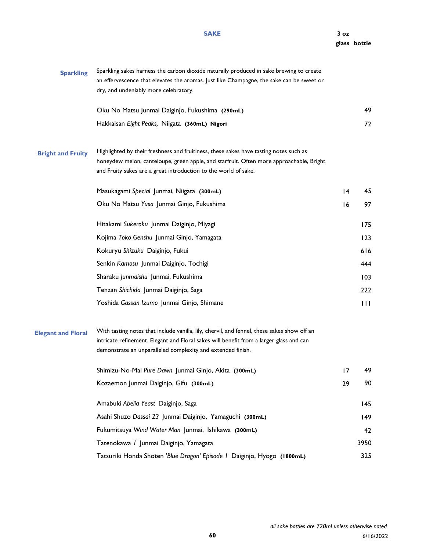| <b>Sparkling</b>          | Sparkling sakes harness the carbon dioxide naturally produced in sake brewing to create<br>an effervescence that elevates the aromas. Just like Champagne, the sake can be sweet or<br>dry, and undeniably more celebratory.                          |                 |                |
|---------------------------|-------------------------------------------------------------------------------------------------------------------------------------------------------------------------------------------------------------------------------------------------------|-----------------|----------------|
|                           | Oku No Matsu Junmai Daiginjo, Fukushima (290mL)                                                                                                                                                                                                       |                 | 49             |
|                           | Hakkaisan Eight Peaks, Niigata (360mL) Nigori                                                                                                                                                                                                         |                 | 72             |
| <b>Bright and Fruity</b>  | Highlighted by their freshness and fruitiness, these sakes have tasting notes such as<br>honeydew melon, canteloupe, green apple, and starfruit. Often more approachable, Bright<br>and Fruity sakes are a great introduction to the world of sake.   |                 |                |
|                           | Masukagami Special Junmai, Niigata (300mL)                                                                                                                                                                                                            | $\overline{14}$ | 45             |
|                           | Oku No Matsu Yusa Junmai Ginjo, Fukushima                                                                                                                                                                                                             | 16              | 97             |
|                           | Hitakami Sukeroku Junmai Daiginjo, Miyagi                                                                                                                                                                                                             |                 | 175            |
|                           | Kojima Toko Genshu Junmai Ginjo, Yamagata                                                                                                                                                                                                             |                 | 123            |
|                           | Kokuryu Shizuku Daiginjo, Fukui                                                                                                                                                                                                                       |                 | 616            |
|                           | Senkin Kamosu Junmai Daiginjo, Tochigi                                                                                                                                                                                                                |                 | 444            |
|                           | Sharaku Junmaishu Junmai, Fukushima                                                                                                                                                                                                                   |                 | 103            |
|                           | Tenzan Shichida Junmai Daiginjo, Saga                                                                                                                                                                                                                 |                 | 222            |
|                           | Yoshida Gassan Izumo Junmai Ginjo, Shimane                                                                                                                                                                                                            |                 | $\blacksquare$ |
| <b>Elegant and Floral</b> | With tasting notes that include vanilla, lily, chervil, and fennel, these sakes show off an<br>intricate refinement. Elegant and Floral sakes will benefit from a larger glass and can<br>demonstrate an unparalleled complexity and extended finish. |                 |                |
|                           | Shimizu-No-Mai Pure Dawn Junmai Ginjo, Akita (300mL)                                                                                                                                                                                                  | 17              | 49             |
|                           | Kozaemon Junmai Daiginjo, Gifu (300mL)                                                                                                                                                                                                                | 29              | 90             |
|                           | Amabuki Abelia Yeast Daiginjo, Saga                                                                                                                                                                                                                   |                 | 145            |
|                           | Asahi Shuzo Dassai 23 Junmai Daiginjo, Yamaguchi (300mL)                                                                                                                                                                                              |                 | 149            |
|                           | Fukumitsuya Wind Water Man Junmai, Ishikawa (300mL)                                                                                                                                                                                                   |                 | 42             |
|                           | Tatenokawa / Junmai Daiginjo, Yamagata                                                                                                                                                                                                                |                 | 3950           |
|                           | Tatsuriki Honda Shoten 'Blue Dragon' Episode / Daiginjo, Hyogo (1800mL)                                                                                                                                                                               |                 | 325            |